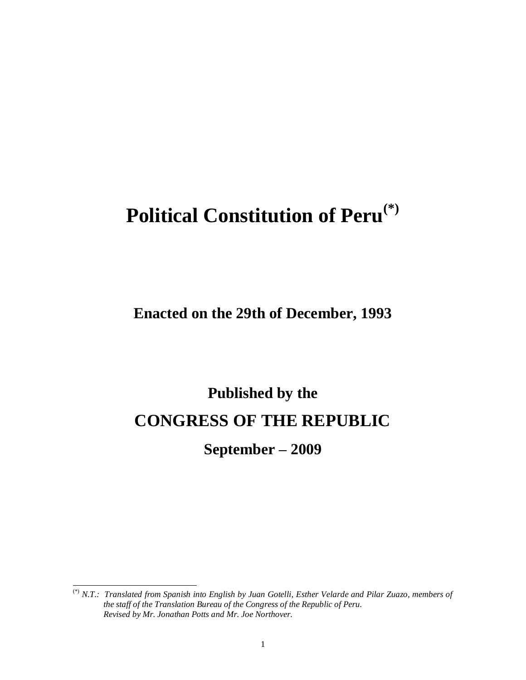# **Political Constitution of Peru(\*)**

**Enacted on the 29th of December, 1993**

# **Published by the CONGRESS OF THE REPUBLIC**

**September – 2009**

l

<sup>(\*)</sup> *N.T.: Translated from Spanish into English by Juan Gotelli, Esther Velarde and Pilar Zuazo, members of the staff of the Translation Bureau of the Congress of the Republic of Peru. Revised by Mr. Jonathan Potts and Mr. Joe Northover.*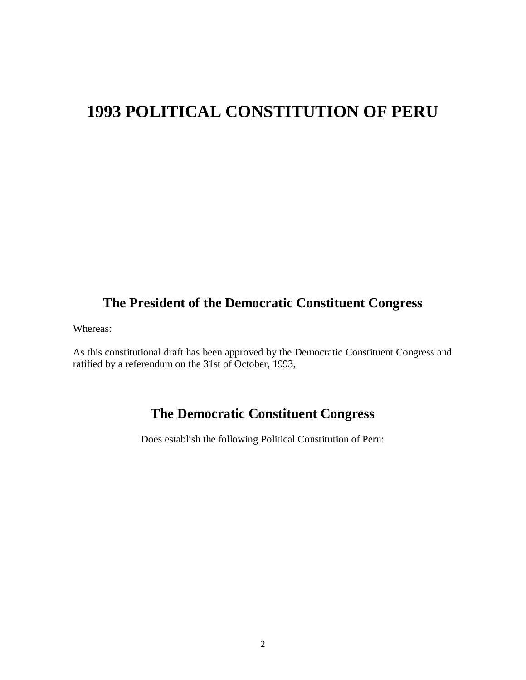# **1993 POLITICAL CONSTITUTION OF PERU**

# **The President of the Democratic Constituent Congress**

Whereas:

As this constitutional draft has been approved by the Democratic Constituent Congress and ratified by a referendum on the 31st of October, 1993,

# **The Democratic Constituent Congress**

Does establish the following Political Constitution of Peru: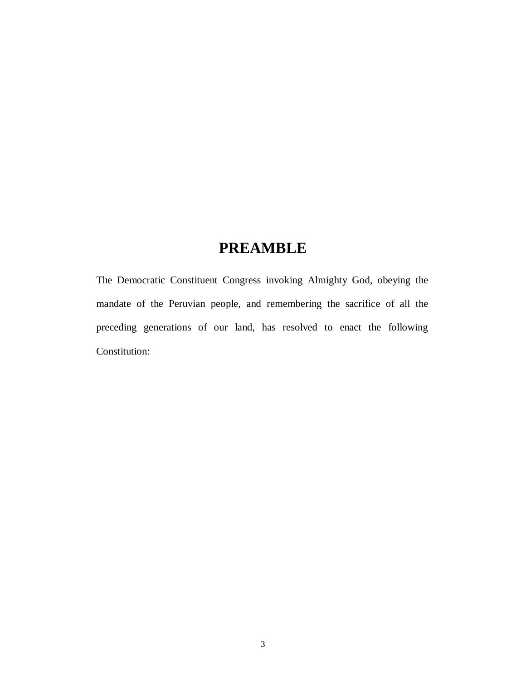# **PREAMBLE**

The Democratic Constituent Congress invoking Almighty God, obeying the mandate of the Peruvian people, and remembering the sacrifice of all the preceding generations of our land, has resolved to enact the following Constitution: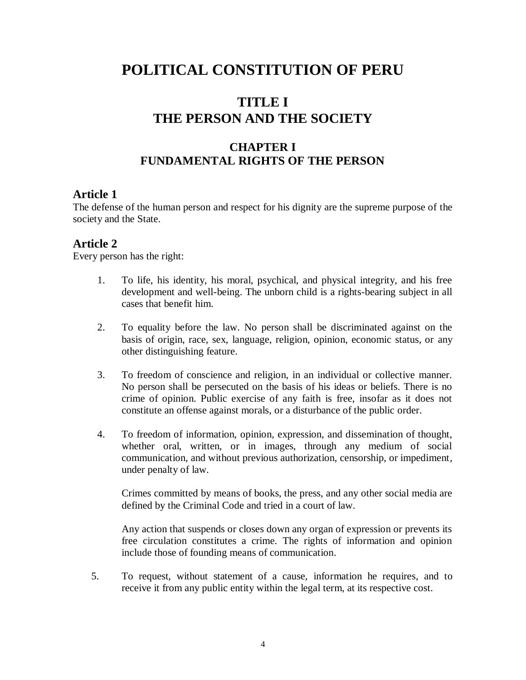# **POLITICAL CONSTITUTION OF PERU**

# **TITLE I THE PERSON AND THE SOCIETY**

# **CHAPTER I FUNDAMENTAL RIGHTS OF THE PERSON**

#### **Article 1**

The defense of the human person and respect for his dignity are the supreme purpose of the society and the State.

#### **Article 2**

Every person has the right:

- 1. To life, his identity, his moral, psychical, and physical integrity, and his free development and well-being. The unborn child is a rights-bearing subject in all cases that benefit him.
- 2. To equality before the law. No person shall be discriminated against on the basis of origin, race, sex, language, religion, opinion, economic status, or any other distinguishing feature.
- 3. To freedom of conscience and religion, in an individual or collective manner. No person shall be persecuted on the basis of his ideas or beliefs. There is no crime of opinion. Public exercise of any faith is free, insofar as it does not constitute an offense against morals, or a disturbance of the public order.
- 4. To freedom of information, opinion, expression, and dissemination of thought, whether oral, written, or in images, through any medium of social communication, and without previous authorization, censorship, or impediment, under penalty of law.

Crimes committed by means of books, the press, and any other social media are defined by the Criminal Code and tried in a court of law.

Any action that suspends or closes down any organ of expression or prevents its free circulation constitutes a crime. The rights of information and opinion include those of founding means of communication.

5. To request, without statement of a cause, information he requires, and to receive it from any public entity within the legal term, at its respective cost.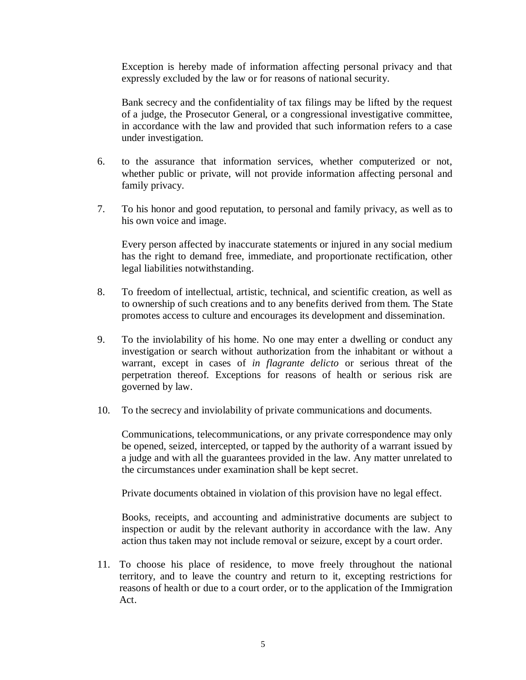Exception is hereby made of information affecting personal privacy and that expressly excluded by the law or for reasons of national security.

Bank secrecy and the confidentiality of tax filings may be lifted by the request of a judge, the Prosecutor General, or a congressional investigative committee, in accordance with the law and provided that such information refers to a case under investigation.

- 6. to the assurance that information services, whether computerized or not, whether public or private, will not provide information affecting personal and family privacy.
- 7. To his honor and good reputation, to personal and family privacy, as well as to his own voice and image.

Every person affected by inaccurate statements or injured in any social medium has the right to demand free, immediate, and proportionate rectification, other legal liabilities notwithstanding.

- 8. To freedom of intellectual, artistic, technical, and scientific creation, as well as to ownership of such creations and to any benefits derived from them. The State promotes access to culture and encourages its development and dissemination.
- 9. To the inviolability of his home. No one may enter a dwelling or conduct any investigation or search without authorization from the inhabitant or without a warrant, except in cases of *in flagrante delicto* or serious threat of the perpetration thereof. Exceptions for reasons of health or serious risk are governed by law.
- 10. To the secrecy and inviolability of private communications and documents.

Communications, telecommunications, or any private correspondence may only be opened, seized, intercepted, or tapped by the authority of a warrant issued by a judge and with all the guarantees provided in the law. Any matter unrelated to the circumstances under examination shall be kept secret.

Private documents obtained in violation of this provision have no legal effect.

Books, receipts, and accounting and administrative documents are subject to inspection or audit by the relevant authority in accordance with the law. Any action thus taken may not include removal or seizure, except by a court order.

11. To choose his place of residence, to move freely throughout the national territory, and to leave the country and return to it, excepting restrictions for reasons of health or due to a court order, or to the application of the Immigration Act.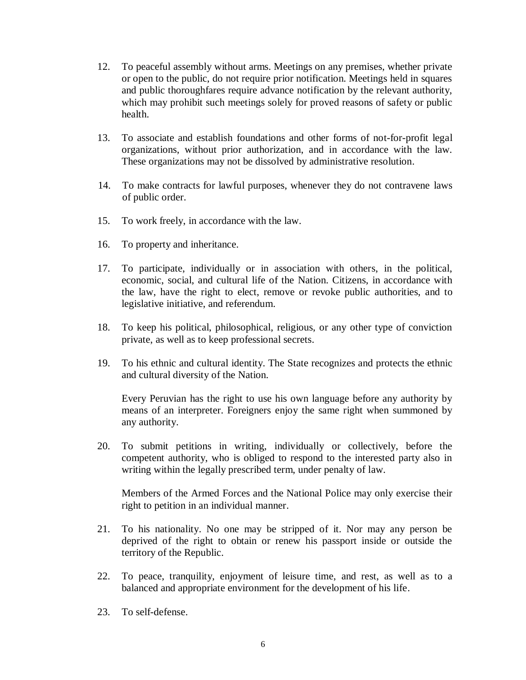- 12. To peaceful assembly without arms. Meetings on any premises, whether private or open to the public, do not require prior notification. Meetings held in squares and public thoroughfares require advance notification by the relevant authority, which may prohibit such meetings solely for proved reasons of safety or public health.
- 13. To associate and establish foundations and other forms of not-for-profit legal organizations, without prior authorization, and in accordance with the law. These organizations may not be dissolved by administrative resolution.
- 14. To make contracts for lawful purposes, whenever they do not contravene laws of public order.
- 15. To work freely, in accordance with the law.
- 16. To property and inheritance.
- 17. To participate, individually or in association with others, in the political, economic, social, and cultural life of the Nation. Citizens, in accordance with the law, have the right to elect, remove or revoke public authorities, and to legislative initiative, and referendum.
- 18. To keep his political, philosophical, religious, or any other type of conviction private, as well as to keep professional secrets.
- 19. To his ethnic and cultural identity. The State recognizes and protects the ethnic and cultural diversity of the Nation.

Every Peruvian has the right to use his own language before any authority by means of an interpreter. Foreigners enjoy the same right when summoned by any authority.

20. To submit petitions in writing, individually or collectively, before the competent authority, who is obliged to respond to the interested party also in writing within the legally prescribed term, under penalty of law.

Members of the Armed Forces and the National Police may only exercise their right to petition in an individual manner.

- 21. To his nationality. No one may be stripped of it. Nor may any person be deprived of the right to obtain or renew his passport inside or outside the territory of the Republic.
- 22. To peace, tranquility, enjoyment of leisure time, and rest, as well as to a balanced and appropriate environment for the development of his life.
- 23. To self-defense.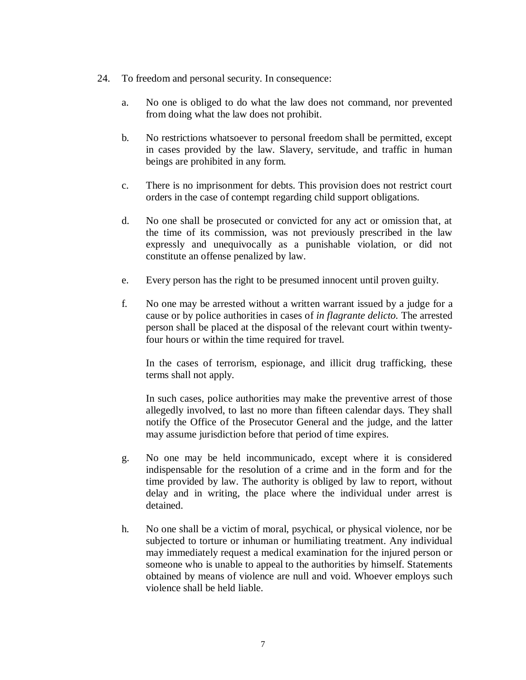- 24. To freedom and personal security. In consequence:
	- a. No one is obliged to do what the law does not command, nor prevented from doing what the law does not prohibit.
	- b. No restrictions whatsoever to personal freedom shall be permitted, except in cases provided by the law. Slavery, servitude, and traffic in human beings are prohibited in any form.
	- c. There is no imprisonment for debts. This provision does not restrict court orders in the case of contempt regarding child support obligations.
	- d. No one shall be prosecuted or convicted for any act or omission that, at the time of its commission, was not previously prescribed in the law expressly and unequivocally as a punishable violation, or did not constitute an offense penalized by law.
	- e. Every person has the right to be presumed innocent until proven guilty.
	- f. No one may be arrested without a written warrant issued by a judge for a cause or by police authorities in cases of *in flagrante delicto.* The arrested person shall be placed at the disposal of the relevant court within twentyfour hours or within the time required for travel.

In the cases of terrorism, espionage, and illicit drug trafficking, these terms shall not apply.

In such cases, police authorities may make the preventive arrest of those allegedly involved, to last no more than fifteen calendar days. They shall notify the Office of the Prosecutor General and the judge, and the latter may assume jurisdiction before that period of time expires.

- g. No one may be held incommunicado, except where it is considered indispensable for the resolution of a crime and in the form and for the time provided by law. The authority is obliged by law to report, without delay and in writing, the place where the individual under arrest is detained.
- h. No one shall be a victim of moral, psychical, or physical violence, nor be subjected to torture or inhuman or humiliating treatment. Any individual may immediately request a medical examination for the injured person or someone who is unable to appeal to the authorities by himself. Statements obtained by means of violence are null and void. Whoever employs such violence shall be held liable.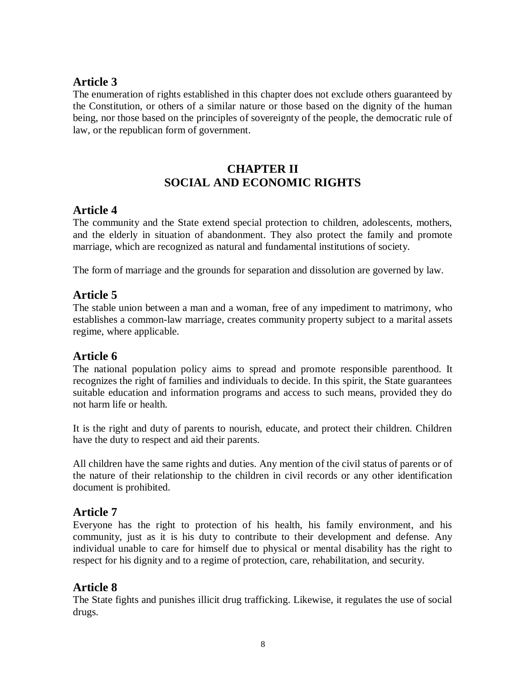The enumeration of rights established in this chapter does not exclude others guaranteed by the Constitution, or others of a similar nature or those based on the dignity of the human being, nor those based on the principles of sovereignty of the people, the democratic rule of law, or the republican form of government.

# **CHAPTER II SOCIAL AND ECONOMIC RIGHTS**

#### **Article 4**

The community and the State extend special protection to children, adolescents, mothers, and the elderly in situation of abandonment. They also protect the family and promote marriage, which are recognized as natural and fundamental institutions of society.

The form of marriage and the grounds for separation and dissolution are governed by law.

#### **Article 5**

The stable union between a man and a woman, free of any impediment to matrimony, who establishes a common-law marriage, creates community property subject to a marital assets regime, where applicable.

#### **Article 6**

The national population policy aims to spread and promote responsible parenthood. It recognizes the right of families and individuals to decide. In this spirit, the State guarantees suitable education and information programs and access to such means, provided they do not harm life or health.

It is the right and duty of parents to nourish, educate, and protect their children. Children have the duty to respect and aid their parents.

All children have the same rights and duties. Any mention of the civil status of parents or of the nature of their relationship to the children in civil records or any other identification document is prohibited.

#### **Article 7**

Everyone has the right to protection of his health, his family environment, and his community, just as it is his duty to contribute to their development and defense. Any individual unable to care for himself due to physical or mental disability has the right to respect for his dignity and to a regime of protection, care, rehabilitation, and security.

# **Article 8**

The State fights and punishes illicit drug trafficking. Likewise, it regulates the use of social drugs.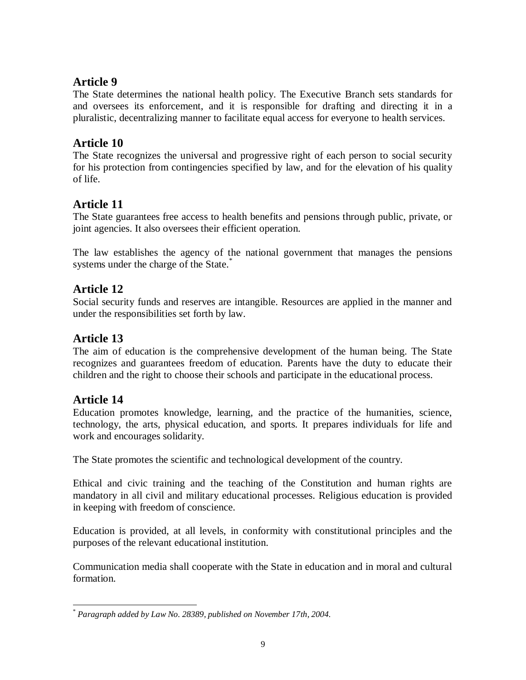The State determines the national health policy. The Executive Branch sets standards for and oversees its enforcement, and it is responsible for drafting and directing it in a pluralistic, decentralizing manner to facilitate equal access for everyone to health services.

# **Article 10**

The State recognizes the universal and progressive right of each person to social security for his protection from contingencies specified by law, and for the elevation of his quality of life.

# **Article 11**

The State guarantees free access to health benefits and pensions through public, private, or joint agencies. It also oversees their efficient operation.

The law establishes the agency of the national government that manages the pensions systems under the charge of the State.<sup>\*</sup>

# **Article 12**

Social security funds and reserves are intangible. Resources are applied in the manner and under the responsibilities set forth by law.

# **Article 13**

The aim of education is the comprehensive development of the human being. The State recognizes and guarantees freedom of education. Parents have the duty to educate their children and the right to choose their schools and participate in the educational process.

# **Article 14**

Education promotes knowledge, learning, and the practice of the humanities, science, technology, the arts, physical education, and sports. It prepares individuals for life and work and encourages solidarity.

The State promotes the scientific and technological development of the country.

Ethical and civic training and the teaching of the Constitution and human rights are mandatory in all civil and military educational processes. Religious education is provided in keeping with freedom of conscience.

Education is provided, at all levels, in conformity with constitutional principles and the purposes of the relevant educational institution.

Communication media shall cooperate with the State in education and in moral and cultural formation.

l \* *Paragraph added by Law No. 28389, published on November 17th, 2004.*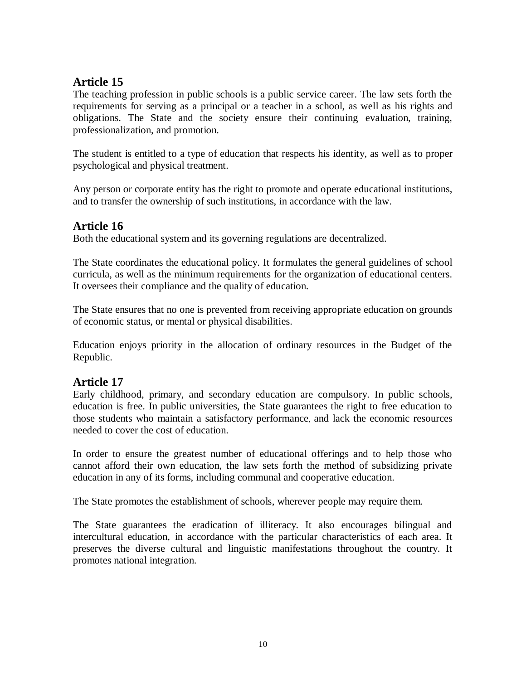The teaching profession in public schools is a public service career. The law sets forth the requirements for serving as a principal or a teacher in a school, as well as his rights and obligations. The State and the society ensure their continuing evaluation, training, professionalization, and promotion.

The student is entitled to a type of education that respects his identity, as well as to proper psychological and physical treatment.

Any person or corporate entity has the right to promote and operate educational institutions, and to transfer the ownership of such institutions, in accordance with the law.

#### **Article 16**

Both the educational system and its governing regulations are decentralized.

The State coordinates the educational policy. It formulates the general guidelines of school curricula, as well as the minimum requirements for the organization of educational centers. It oversees their compliance and the quality of education.

The State ensures that no one is prevented from receiving appropriate education on grounds of economic status, or mental or physical disabilities.

Education enjoys priority in the allocation of ordinary resources in the Budget of the Republic.

#### **Article 17**

Early childhood, primary, and secondary education are compulsory. In public schools, education is free. In public universities, the State guarantees the right to free education to those students who maintain a satisfactory performance, and lack the economic resources needed to cover the cost of education.

In order to ensure the greatest number of educational offerings and to help those who cannot afford their own education, the law sets forth the method of subsidizing private education in any of its forms, including communal and cooperative education.

The State promotes the establishment of schools, wherever people may require them.

The State guarantees the eradication of illiteracy. It also encourages bilingual and intercultural education, in accordance with the particular characteristics of each area. It preserves the diverse cultural and linguistic manifestations throughout the country. It promotes national integration.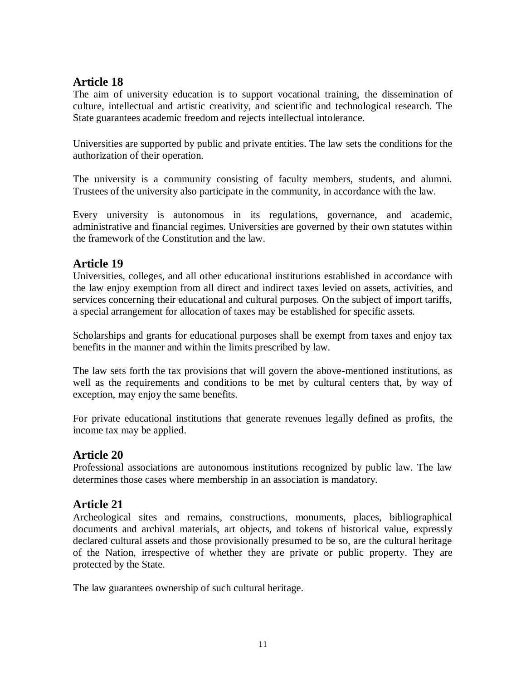The aim of university education is to support vocational training, the dissemination of culture, intellectual and artistic creativity, and scientific and technological research. The State guarantees academic freedom and rejects intellectual intolerance.

Universities are supported by public and private entities. The law sets the conditions for the authorization of their operation.

The university is a community consisting of faculty members, students, and alumni. Trustees of the university also participate in the community, in accordance with the law.

Every university is autonomous in its regulations, governance, and academic, administrative and financial regimes. Universities are governed by their own statutes within the framework of the Constitution and the law.

# **Article 19**

Universities, colleges, and all other educational institutions established in accordance with the law enjoy exemption from all direct and indirect taxes levied on assets, activities, and services concerning their educational and cultural purposes. On the subject of import tariffs, a special arrangement for allocation of taxes may be established for specific assets.

Scholarships and grants for educational purposes shall be exempt from taxes and enjoy tax benefits in the manner and within the limits prescribed by law.

The law sets forth the tax provisions that will govern the above-mentioned institutions, as well as the requirements and conditions to be met by cultural centers that, by way of exception, may enjoy the same benefits.

For private educational institutions that generate revenues legally defined as profits, the income tax may be applied.

# **Article 20**

Professional associations are autonomous institutions recognized by public law. The law determines those cases where membership in an association is mandatory.

# **Article 21**

Archeological sites and remains, constructions, monuments, places, bibliographical documents and archival materials, art objects, and tokens of historical value, expressly declared cultural assets and those provisionally presumed to be so, are the cultural heritage of the Nation, irrespective of whether they are private or public property. They are protected by the State.

The law guarantees ownership of such cultural heritage.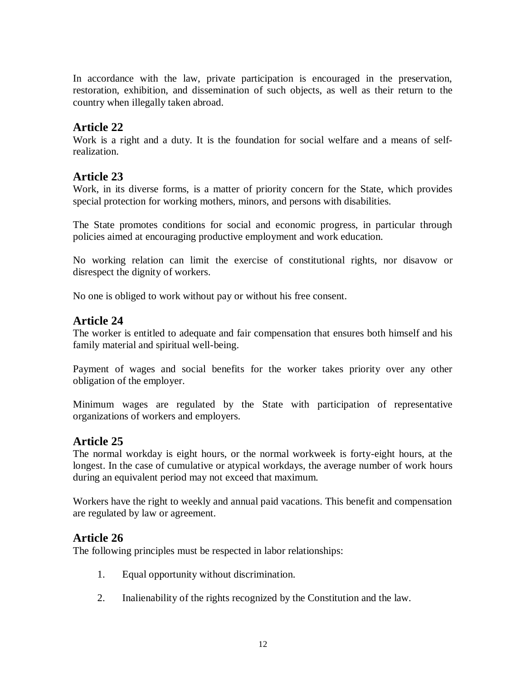In accordance with the law, private participation is encouraged in the preservation, restoration, exhibition, and dissemination of such objects, as well as their return to the country when illegally taken abroad.

#### **Article 22**

Work is a right and a duty. It is the foundation for social welfare and a means of selfrealization.

# **Article 23**

Work, in its diverse forms, is a matter of priority concern for the State, which provides special protection for working mothers, minors, and persons with disabilities.

The State promotes conditions for social and economic progress, in particular through policies aimed at encouraging productive employment and work education.

No working relation can limit the exercise of constitutional rights, nor disavow or disrespect the dignity of workers.

No one is obliged to work without pay or without his free consent.

# **Article 24**

The worker is entitled to adequate and fair compensation that ensures both himself and his family material and spiritual well-being.

Payment of wages and social benefits for the worker takes priority over any other obligation of the employer.

Minimum wages are regulated by the State with participation of representative organizations of workers and employers.

# **Article 25**

The normal workday is eight hours, or the normal workweek is forty-eight hours, at the longest. In the case of cumulative or atypical workdays, the average number of work hours during an equivalent period may not exceed that maximum.

Workers have the right to weekly and annual paid vacations. This benefit and compensation are regulated by law or agreement.

#### **Article 26**

The following principles must be respected in labor relationships:

- 1. Equal opportunity without discrimination.
- 2. Inalienability of the rights recognized by the Constitution and the law.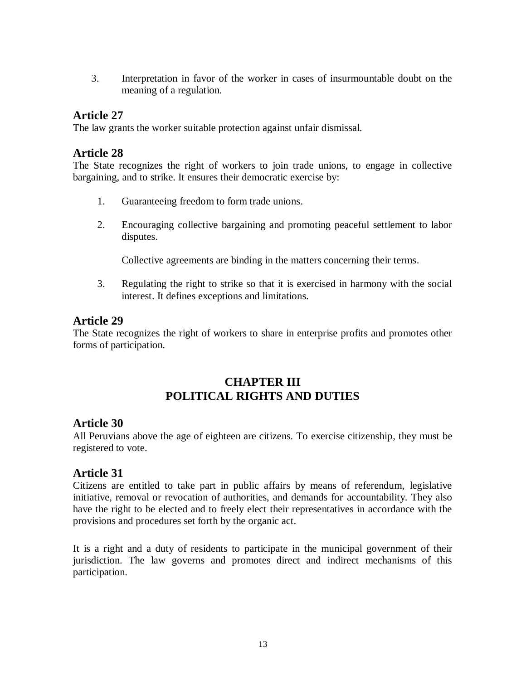3. Interpretation in favor of the worker in cases of insurmountable doubt on the meaning of a regulation.

#### **Article 27**

The law grants the worker suitable protection against unfair dismissal.

#### **Article 28**

The State recognizes the right of workers to join trade unions, to engage in collective bargaining, and to strike. It ensures their democratic exercise by:

- 1. Guaranteeing freedom to form trade unions.
- 2. Encouraging collective bargaining and promoting peaceful settlement to labor disputes.

Collective agreements are binding in the matters concerning their terms.

3. Regulating the right to strike so that it is exercised in harmony with the social interest. It defines exceptions and limitations.

# **Article 29**

The State recognizes the right of workers to share in enterprise profits and promotes other forms of participation.

# **CHAPTER III POLITICAL RIGHTS AND DUTIES**

#### **Article 30**

All Peruvians above the age of eighteen are citizens. To exercise citizenship, they must be registered to vote.

#### **Article 31**

Citizens are entitled to take part in public affairs by means of referendum, legislative initiative, removal or revocation of authorities, and demands for accountability. They also have the right to be elected and to freely elect their representatives in accordance with the provisions and procedures set forth by the organic act.

It is a right and a duty of residents to participate in the municipal government of their jurisdiction. The law governs and promotes direct and indirect mechanisms of this participation.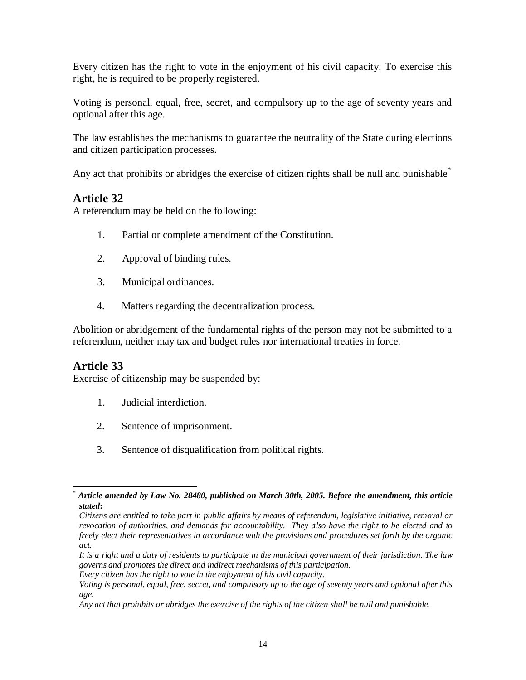Every citizen has the right to vote in the enjoyment of his civil capacity. To exercise this right, he is required to be properly registered.

Voting is personal, equal, free, secret, and compulsory up to the age of seventy years and optional after this age.

The law establishes the mechanisms to guarantee the neutrality of the State during elections and citizen participation processes.

Any act that prohibits or abridges the exercise of citizen rights shall be null and punishable\*

# **Article 32**

A referendum may be held on the following:

- 1. Partial or complete amendment of the Constitution.
- 2. Approval of binding rules.
- 3. Municipal ordinances.
- 4. Matters regarding the decentralization process.

Abolition or abridgement of the fundamental rights of the person may not be submitted to a referendum, neither may tax and budget rules nor international treaties in force.

# **Article 33**

Exercise of citizenship may be suspended by:

- 1. Judicial interdiction.
- 2. Sentence of imprisonment.
- 3. Sentence of disqualification from political rights.

<sup>-</sup>\* *Article amended by Law No. 28480, published on March 30th, 2005. Before the amendment, this article stated***:**

*Citizens are entitled to take part in public affairs by means of referendum, legislative initiative, removal or revocation of authorities, and demands for accountability. They also have the right to be elected and to freely elect their representatives in accordance with the provisions and procedures set forth by the organic act.*

*It is a right and a duty of residents to participate in the municipal government of their jurisdiction. The law governs and promotes the direct and indirect mechanisms of this participation.*

*Every citizen has the right to vote in the enjoyment of his civil capacity.*

*Voting is personal, equal, free, secret, and compulsory up to the age of seventy years and optional after this age.*

*Any act that prohibits or abridges the exercise of the rights of the citizen shall be null and punishable.*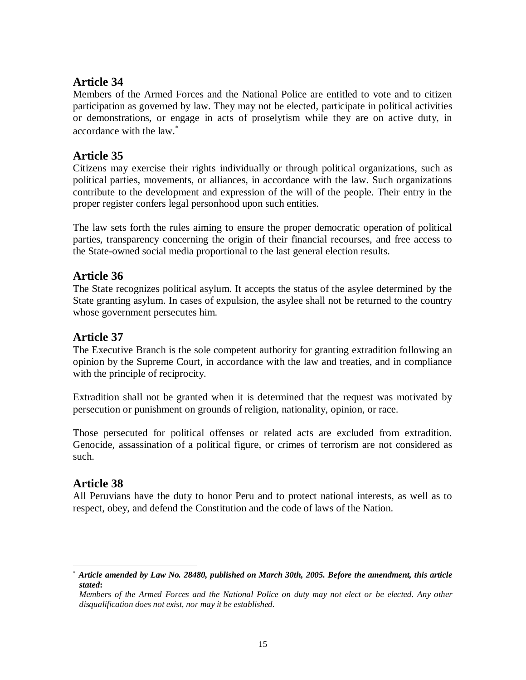Members of the Armed Forces and the National Police are entitled to vote and to citizen participation as governed by law. They may not be elected, participate in political activities or demonstrations, or engage in acts of proselytism while they are on active duty, in accordance with the law<sup>\*</sup>

# **Article 35**

Citizens may exercise their rights individually or through political organizations, such as political parties, movements, or alliances, in accordance with the law. Such organizations contribute to the development and expression of the will of the people. Their entry in the proper register confers legal personhood upon such entities.

The law sets forth the rules aiming to ensure the proper democratic operation of political parties, transparency concerning the origin of their financial recourses, and free access to the State-owned social media proportional to the last general election results.

# **Article 36**

The State recognizes political asylum. It accepts the status of the asylee determined by the State granting asylum. In cases of expulsion, the asylee shall not be returned to the country whose government persecutes him.

# **Article 37**

The Executive Branch is the sole competent authority for granting extradition following an opinion by the Supreme Court, in accordance with the law and treaties, and in compliance with the principle of reciprocity.

Extradition shall not be granted when it is determined that the request was motivated by persecution or punishment on grounds of religion, nationality, opinion, or race.

Those persecuted for political offenses or related acts are excluded from extradition. Genocide, assassination of a political figure, or crimes of terrorism are not considered as such.

# **Article 38**

l

All Peruvians have the duty to honor Peru and to protect national interests, as well as to respect, obey, and defend the Constitution and the code of laws of the Nation.

*Article amended by Law No. 28480, published on March 30th, 2005. Before the amendment, this article stated***:**

*Members of the Armed Forces and the National Police on duty may not elect or be elected. Any other disqualification does not exist, nor may it be established.*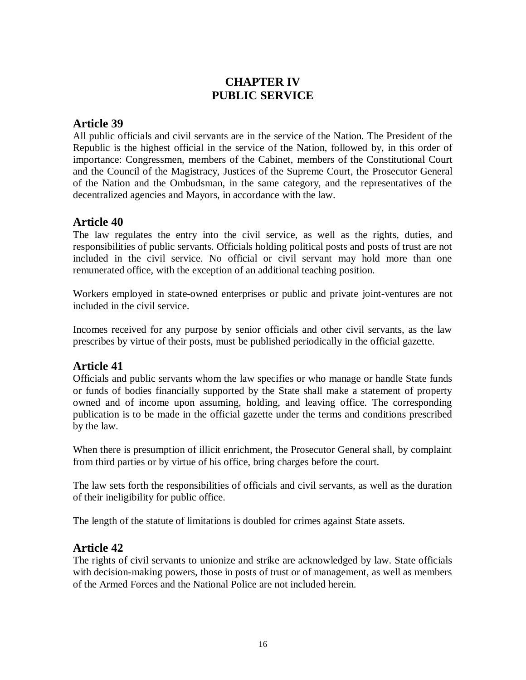# **CHAPTER IV PUBLIC SERVICE**

#### **Article 39**

All public officials and civil servants are in the service of the Nation. The President of the Republic is the highest official in the service of the Nation, followed by, in this order of importance: Congressmen, members of the Cabinet, members of the Constitutional Court and the Council of the Magistracy, Justices of the Supreme Court, the Prosecutor General of the Nation and the Ombudsman, in the same category, and the representatives of the decentralized agencies and Mayors, in accordance with the law.

#### **Article 40**

The law regulates the entry into the civil service, as well as the rights, duties, and responsibilities of public servants. Officials holding political posts and posts of trust are not included in the civil service. No official or civil servant may hold more than one remunerated office, with the exception of an additional teaching position.

Workers employed in state-owned enterprises or public and private joint-ventures are not included in the civil service.

Incomes received for any purpose by senior officials and other civil servants, as the law prescribes by virtue of their posts, must be published periodically in the official gazette.

# **Article 41**

Officials and public servants whom the law specifies or who manage or handle State funds or funds of bodies financially supported by the State shall make a statement of property owned and of income upon assuming, holding, and leaving office. The corresponding publication is to be made in the official gazette under the terms and conditions prescribed by the law.

When there is presumption of illicit enrichment, the Prosecutor General shall, by complaint from third parties or by virtue of his office, bring charges before the court.

The law sets forth the responsibilities of officials and civil servants, as well as the duration of their ineligibility for public office.

The length of the statute of limitations is doubled for crimes against State assets.

#### **Article 42**

The rights of civil servants to unionize and strike are acknowledged by law. State officials with decision-making powers, those in posts of trust or of management, as well as members of the Armed Forces and the National Police are not included herein.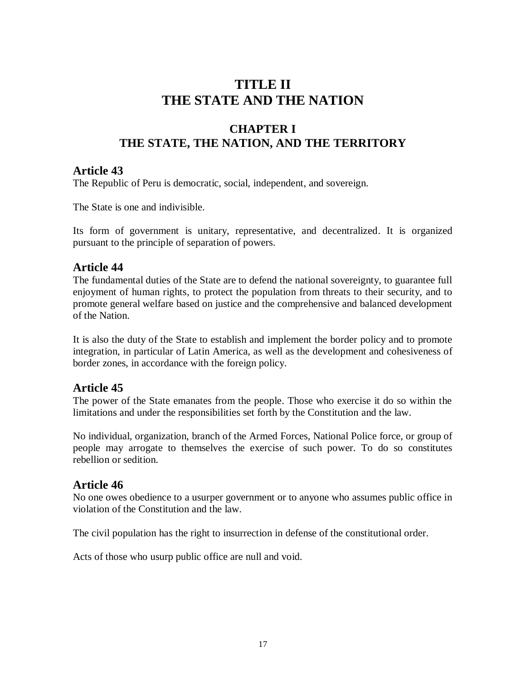# **TITLE II THE STATE AND THE NATION**

# **CHAPTER I THE STATE, THE NATION, AND THE TERRITORY**

#### **Article 43**

The Republic of Peru is democratic, social, independent, and sovereign.

The State is one and indivisible.

Its form of government is unitary, representative, and decentralized. It is organized pursuant to the principle of separation of powers.

#### **Article 44**

The fundamental duties of the State are to defend the national sovereignty, to guarantee full enjoyment of human rights, to protect the population from threats to their security, and to promote general welfare based on justice and the comprehensive and balanced development of the Nation.

It is also the duty of the State to establish and implement the border policy and to promote integration, in particular of Latin America, as well as the development and cohesiveness of border zones, in accordance with the foreign policy.

# **Article 45**

The power of the State emanates from the people. Those who exercise it do so within the limitations and under the responsibilities set forth by the Constitution and the law.

No individual, organization, branch of the Armed Forces, National Police force, or group of people may arrogate to themselves the exercise of such power. To do so constitutes rebellion or sedition.

#### **Article 46**

No one owes obedience to a usurper government or to anyone who assumes public office in violation of the Constitution and the law.

The civil population has the right to insurrection in defense of the constitutional order.

Acts of those who usurp public office are null and void.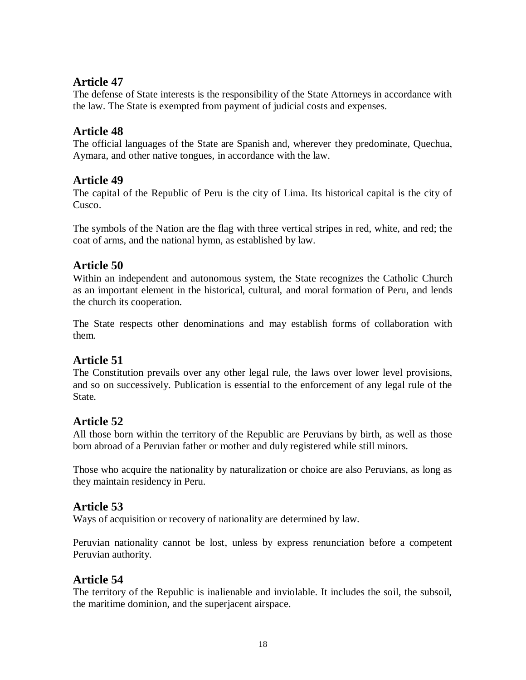The defense of State interests is the responsibility of the State Attorneys in accordance with the law. The State is exempted from payment of judicial costs and expenses.

# **Article 48**

The official languages of the State are Spanish and, wherever they predominate*,* Quechua, Aymara, and other native tongues, in accordance with the law.

# **Article 49**

The capital of the Republic of Peru is the city of Lima. Its historical capital is the city of Cusco.

The symbols of the Nation are the flag with three vertical stripes in red, white, and red; the coat of arms, and the national hymn, as established by law.

# **Article 50**

Within an independent and autonomous system, the State recognizes the Catholic Church as an important element in the historical, cultural, and moral formation of Peru, and lends the church its cooperation.

The State respects other denominations and may establish forms of collaboration with them.

# **Article 51**

The Constitution prevails over any other legal rule, the laws over lower level provisions, and so on successively. Publication is essential to the enforcement of any legal rule of the State.

# **Article 52**

All those born within the territory of the Republic are Peruvians by birth, as well as those born abroad of a Peruvian father or mother and duly registered while still minors.

Those who acquire the nationality by naturalization or choice are also Peruvians, as long as they maintain residency in Peru.

# **Article 53**

Ways of acquisition or recovery of nationality are determined by law.

Peruvian nationality cannot be lost, unless by express renunciation before a competent Peruvian authority.

# **Article 54**

The territory of the Republic is inalienable and inviolable. It includes the soil, the subsoil, the maritime dominion, and the superjacent airspace.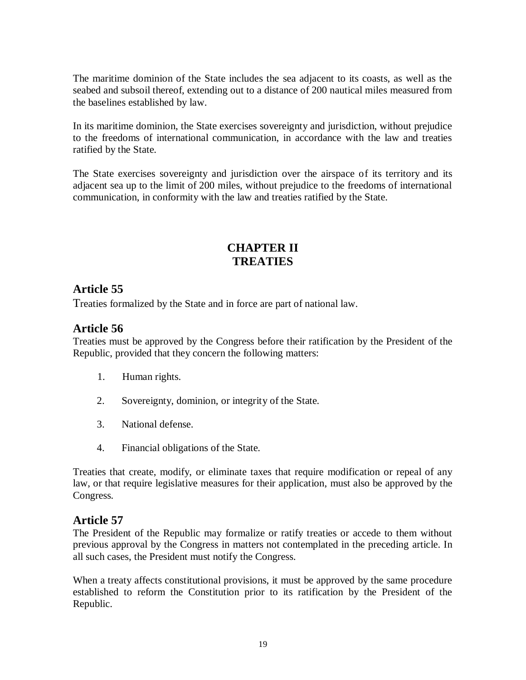The maritime dominion of the State includes the sea adjacent to its coasts, as well as the seabed and subsoil thereof, extending out to a distance of 200 nautical miles measured from the baselines established by law.

In its maritime dominion, the State exercises sovereignty and jurisdiction, without prejudice to the freedoms of international communication, in accordance with the law and treaties ratified by the State.

The State exercises sovereignty and jurisdiction over the airspace of its territory and its adjacent sea up to the limit of 200 miles, without prejudice to the freedoms of international communication, in conformity with the law and treaties ratified by the State.

# **CHAPTER II TREATIES**

#### **Article 55**

Treaties formalized by the State and in force are part of national law.

#### **Article 56**

Treaties must be approved by the Congress before their ratification by the President of the Republic, provided that they concern the following matters:

- 1. Human rights.
- 2. Sovereignty, dominion, or integrity of the State.
- 3. National defense.
- 4. Financial obligations of the State.

Treaties that create, modify, or eliminate taxes that require modification or repeal of any law, or that require legislative measures for their application, must also be approved by the Congress*.* 

#### **Article 57**

The President of the Republic may formalize or ratify treaties or accede to them without previous approval by the Congress in matters not contemplated in the preceding article. In all such cases, the President must notify the Congress.

When a treaty affects constitutional provisions, it must be approved by the same procedure established to reform the Constitution prior to its ratification by the President of the Republic.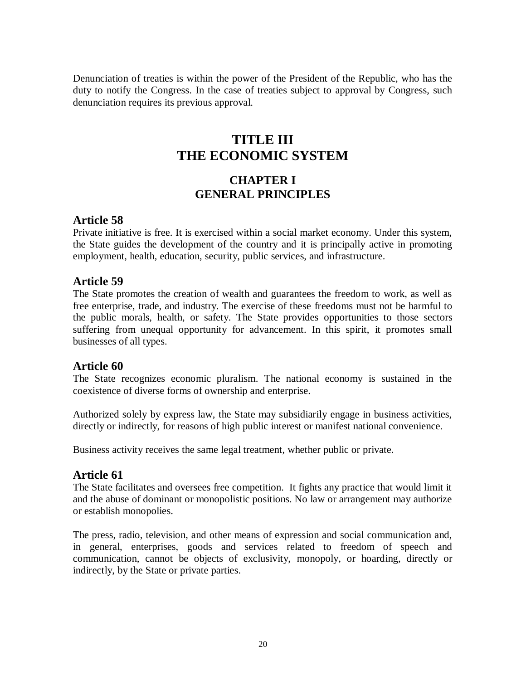Denunciation of treaties is within the power of the President of the Republic, who has the duty to notify the Congress. In the case of treaties subject to approval by Congress, such denunciation requires its previous approval.

# **TITLE III THE ECONOMIC SYSTEM**

# **CHAPTER I GENERAL PRINCIPLES**

#### **Article 58**

Private initiative is free. It is exercised within a social market economy. Under this system, the State guides the development of the country and it is principally active in promoting employment, health, education, security, public services, and infrastructure.

#### **Article 59**

The State promotes the creation of wealth and guarantees the freedom to work, as well as free enterprise, trade, and industry. The exercise of these freedoms must not be harmful to the public morals, health, or safety. The State provides opportunities to those sectors suffering from unequal opportunity for advancement. In this spirit, it promotes small businesses of all types.

#### **Article 60**

The State recognizes economic pluralism. The national economy is sustained in the coexistence of diverse forms of ownership and enterprise.

Authorized solely by express law, the State may subsidiarily engage in business activities, directly or indirectly, for reasons of high public interest or manifest national convenience.

Business activity receives the same legal treatment, whether public or private.

#### **Article 61**

The State facilitates and oversees free competition. It fights any practice that would limit it and the abuse of dominant or monopolistic positions. No law or arrangement may authorize or establish monopolies.

The press, radio, television, and other means of expression and social communication and, in general, enterprises, goods and services related to freedom of speech and communication, cannot be objects of exclusivity, monopoly, or hoarding, directly or indirectly, by the State or private parties.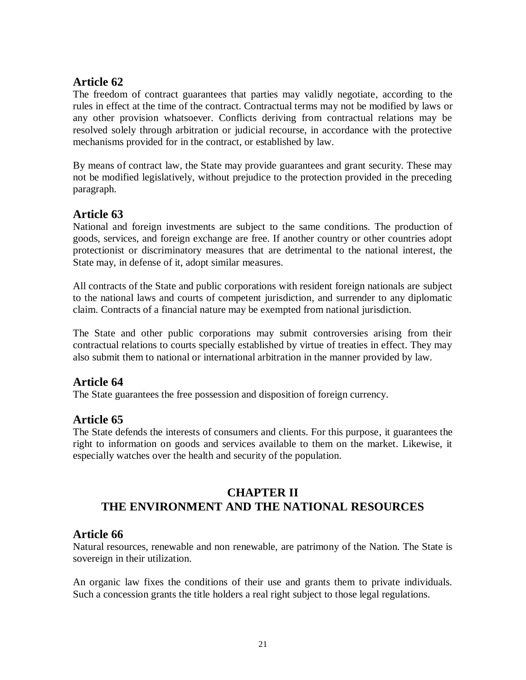The freedom of contract guarantees that parties may validly negotiate, according to the rules in effect at the time of the contract. Contractual terms may not be modified by laws or any other provision whatsoever. Conflicts deriving from contractual relations may be resolved solely through arbitration or judicial recourse, in accordance with the protective mechanisms provided for in the contract, or established by law.

By means of contract law, the State may provide guarantees and grant security. These may not be modified legislatively, without prejudice to the protection provided in the preceding paragraph.

#### **Article 63**

National and foreign investments are subject to the same conditions. The production of goods, services, and foreign exchange are free. If another country or other countries adopt protectionist or discriminatory measures that are detrimental to the national interest, the State may, in defense of it, adopt similar measures.

All contracts of the State and public corporations with resident foreign nationals are subject to the national laws and courts of competent jurisdiction, and surrender to any diplomatic claim. Contracts of a financial nature may be exempted from national jurisdiction.

The State and other public corporations may submit controversies arising from their contractual relations to courts specially established by virtue of treaties in effect. They may also submit them to national or international arbitration in the manner provided by law.

#### **Article 64**

The State guarantees the free possession and disposition of foreign currency.

#### **Article 65**

The State defends the interests of consumers and clients. For this purpose, it guarantees the right to information on goods and services available to them on the market. Likewise, it especially watches over the health and security of the population.

# **CHAPTER II THE ENVIRONMENT AND THE NATIONAL RESOURCES**

#### **Article 66**

Natural resources, renewable and non renewable, are patrimony of the Nation. The State is sovereign in their utilization.

An organic law fixes the conditions of their use and grants them to private individuals. Such a concession grants the title holders a real right subject to those legal regulations.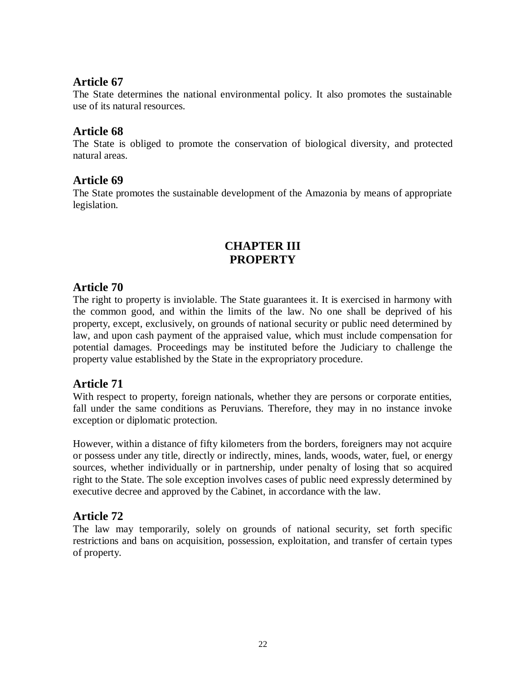The State determines the national environmental policy. It also promotes the sustainable use of its natural resources.

# **Article 68**

The State is obliged to promote the conservation of biological diversity, and protected natural areas.

# **Article 69**

The State promotes the sustainable development of the Amazonia by means of appropriate legislation.

# **CHAPTER III PROPERTY**

# **Article 70**

The right to property is inviolable. The State guarantees it. It is exercised in harmony with the common good, and within the limits of the law. No one shall be deprived of his property, except, exclusively, on grounds of national security or public need determined by law, and upon cash payment of the appraised value, which must include compensation for potential damages. Proceedings may be instituted before the Judiciary to challenge the property value established by the State in the expropriatory procedure.

# **Article 71**

With respect to property, foreign nationals, whether they are persons or corporate entities, fall under the same conditions as Peruvians. Therefore, they may in no instance invoke exception or diplomatic protection.

However, within a distance of fifty kilometers from the borders, foreigners may not acquire or possess under any title, directly or indirectly, mines, lands, woods, water, fuel, or energy sources, whether individually or in partnership, under penalty of losing that so acquired right to the State. The sole exception involves cases of public need expressly determined by executive decree and approved by the Cabinet, in accordance with the law.

# **Article 72**

The law may temporarily, solely on grounds of national security, set forth specific restrictions and bans on acquisition, possession, exploitation, and transfer of certain types of property.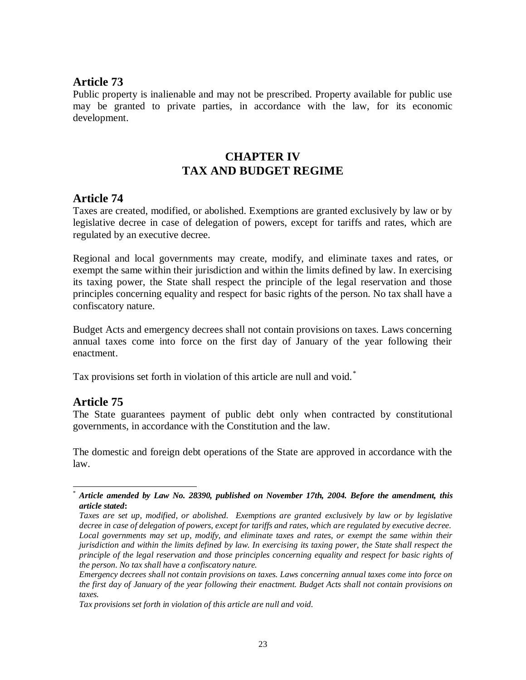Public property is inalienable and may not be prescribed. Property available for public use may be granted to private parties, in accordance with the law, for its economic development.

# **CHAPTER IV TAX AND BUDGET REGIME**

#### **Article 74**

Taxes are created, modified, or abolished. Exemptions are granted exclusively by law or by legislative decree in case of delegation of powers, except for tariffs and rates, which are regulated by an executive decree.

Regional and local governments may create, modify, and eliminate taxes and rates, or exempt the same within their jurisdiction and within the limits defined by law. In exercising its taxing power, the State shall respect the principle of the legal reservation and those principles concerning equality and respect for basic rights of the person. No tax shall have a confiscatory nature.

Budget Acts and emergency decrees shall not contain provisions on taxes. Laws concerning annual taxes come into force on the first day of January of the year following their enactment.

Tax provisions set forth in violation of this article are null and void.\*

#### **Article 75**

-

The State guarantees payment of public debt only when contracted by constitutional governments, in accordance with the Constitution and the law.

The domestic and foreign debt operations of the State are approved in accordance with the law.

<sup>\*</sup> *Article amended by Law No. 28390, published on November 17th, 2004. Before the amendment, this article stated***:**

*Taxes are set up, modified, or abolished. Exemptions are granted exclusively by law or by legislative decree in case of delegation of powers, except for tariffs and rates, which are regulated by executive decree. Local governments may set up, modify, and eliminate taxes and rates, or exempt the same within their jurisdiction and within the limits defined by law. In exercising its taxing power, the State shall respect the principle of the legal reservation and those principles concerning equality and respect for basic rights of the person. No tax shall have a confiscatory nature.*

*Emergency decrees shall not contain provisions on taxes. Laws concerning annual taxes come into force on the first day of January of the year following their enactment. Budget Acts shall not contain provisions on taxes.*

*Tax provisions set forth in violation of this article are null and void.*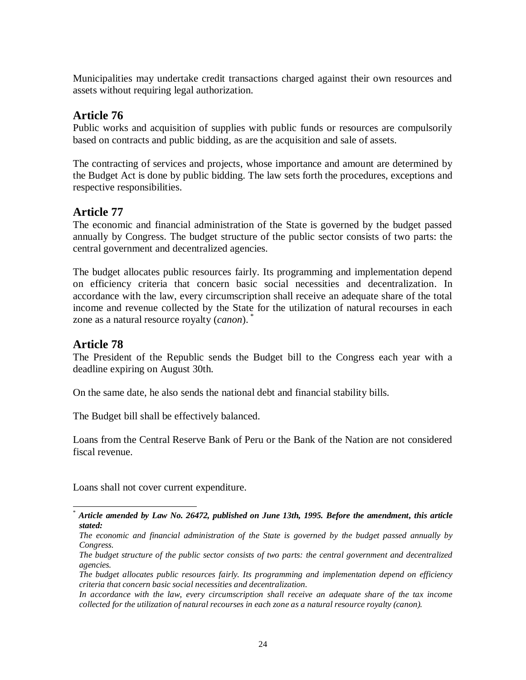Municipalities may undertake credit transactions charged against their own resources and assets without requiring legal authorization.

#### **Article 76**

Public works and acquisition of supplies with public funds or resources are compulsorily based on contracts and public bidding, as are the acquisition and sale of assets.

The contracting of services and projects, whose importance and amount are determined by the Budget Act is done by public bidding. The law sets forth the procedures, exceptions and respective responsibilities.

# **Article 77**

The economic and financial administration of the State is governed by the budget passed annually by Congress. The budget structure of the public sector consists of two parts: the central government and decentralized agencies.

The budget allocates public resources fairly. Its programming and implementation depend on efficiency criteria that concern basic social necessities and decentralization. In accordance with the law, every circumscription shall receive an adequate share of the total income and revenue collected by the State for the utilization of natural recourses in each zone as a natural resource royalty (*canon*). \*

### **Article 78**

The President of the Republic sends the Budget bill to the Congress each year with a deadline expiring on August 30th.

On the same date, he also sends the national debt and financial stability bills.

The Budget bill shall be effectively balanced.

Loans from the Central Reserve Bank of Peru or the Bank of the Nation are not considered fiscal revenue.

Loans shall not cover current expenditure.

l \* *Article amended by Law No. 26472, published on June 13th, 1995. Before the amendment, this article stated:*

*The economic and financial administration of the State is governed by the budget passed annually by Congress.*

*The budget structure of the public sector consists of two parts: the central government and decentralized agencies.*

*The budget allocates public resources fairly. Its programming and implementation depend on efficiency criteria that concern basic social necessities and decentralization.*

*In accordance with the law, every circumscription shall receive an adequate share of the tax income collected for the utilization of natural recourses in each zone as a natural resource royalty (canon).*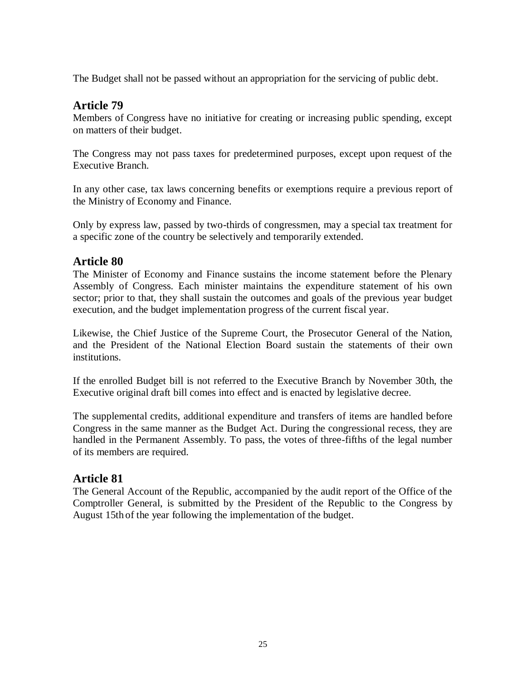The Budget shall not be passed without an appropriation for the servicing of public debt.

#### **Article 79**

Members of Congress have no initiative for creating or increasing public spending, except on matters of their budget.

The Congress may not pass taxes for predetermined purposes, except upon request of the Executive Branch.

In any other case, tax laws concerning benefits or exemptions require a previous report of the Ministry of Economy and Finance.

Only by express law, passed by two-thirds of congressmen, may a special tax treatment for a specific zone of the country be selectively and temporarily extended.

#### **Article 80**

The Minister of Economy and Finance sustains the income statement before the Plenary Assembly of Congress. Each minister maintains the expenditure statement of his own sector; prior to that, they shall sustain the outcomes and goals of the previous year budget execution, and the budget implementation progress of the current fiscal year.

Likewise, the Chief Justice of the Supreme Court, the Prosecutor General of the Nation, and the President of the National Election Board sustain the statements of their own institutions.

If the enrolled Budget bill is not referred to the Executive Branch by November 30th, the Executive original draft bill comes into effect and is enacted by legislative decree.

The supplemental credits, additional expenditure and transfers of items are handled before Congress in the same manner as the Budget Act. During the congressional recess, they are handled in the Permanent Assembly. To pass, the votes of three-fifths of the legal number of its members are required.

# **Article 81**

The General Account of the Republic, accompanied by the audit report of the Office of the Comptroller General, is submitted by the President of the Republic to the Congress by August 15th of the year following the implementation of the budget.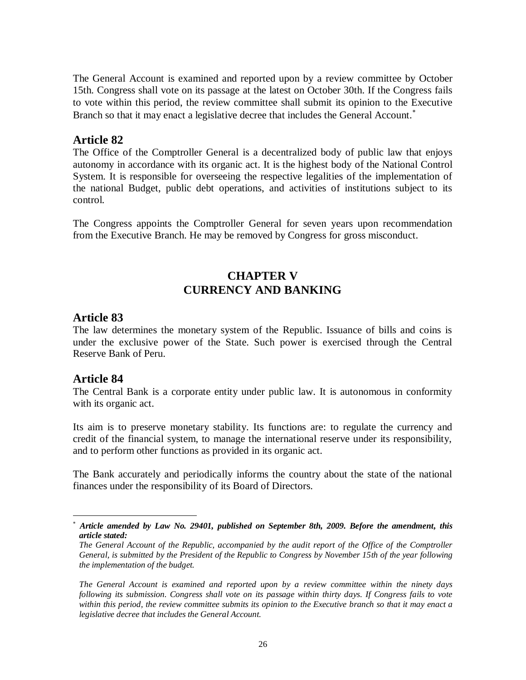The General Account is examined and reported upon by a review committee by October 15th. Congress shall vote on its passage at the latest on October 30th. If the Congress fails to vote within this period, the review committee shall submit its opinion to the Executive Branch so that it may enact a legislative decree that includes the General Account.<sup>\*</sup>

#### **Article 82**

The Office of the Comptroller General is a decentralized body of public law that enjoys autonomy in accordance with its organic act. It is the highest body of the National Control System. It is responsible for overseeing the respective legalities of the implementation of the national Budget, public debt operations, and activities of institutions subject to its control.

The Congress appoints the Comptroller General for seven years upon recommendation from the Executive Branch. He may be removed by Congress for gross misconduct.

# **CHAPTER V CURRENCY AND BANKING**

#### **Article 83**

The law determines the monetary system of the Republic. Issuance of bills and coins is under the exclusive power of the State. Such power is exercised through the Central Reserve Bank of Peru.

# **Article 84**

l

The Central Bank is a corporate entity under public law. It is autonomous in conformity with its organic act.

Its aim is to preserve monetary stability. Its functions are: to regulate the currency and credit of the financial system, to manage the international reserve under its responsibility, and to perform other functions as provided in its organic act.

The Bank accurately and periodically informs the country about the state of the national finances under the responsibility of its Board of Directors.

*Article amended by Law No. 29401, published on September 8th, 2009. Before the amendment, this article stated:*

*The General Account of the Republic, accompanied by the audit report of the Office of the Comptroller General, is submitted by the President of the Republic to Congress by November 15th of the year following the implementation of the budget.*

*The General Account is examined and reported upon by a review committee within the ninety days following its submission. Congress shall vote on its passage within thirty days. If Congress fails to vote within this period, the review committee submits its opinion to the Executive branch so that it may enact a legislative decree that includes the General Account.*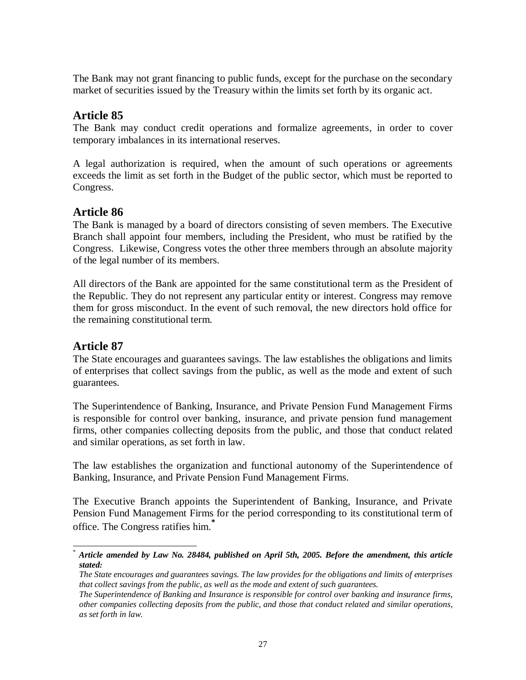The Bank may not grant financing to public funds, except for the purchase on the secondary market of securities issued by the Treasury within the limits set forth by its organic act.

#### **Article 85**

The Bank may conduct credit operations and formalize agreements, in order to cover temporary imbalances in its international reserves.

A legal authorization is required, when the amount of such operations or agreements exceeds the limit as set forth in the Budget of the public sector, which must be reported to Congress.

#### **Article 86**

The Bank is managed by a board of directors consisting of seven members. The Executive Branch shall appoint four members, including the President, who must be ratified by the Congress. Likewise, Congress votes the other three members through an absolute majority of the legal number of its members.

All directors of the Bank are appointed for the same constitutional term as the President of the Republic. They do not represent any particular entity or interest. Congress may remove them for gross misconduct. In the event of such removal, the new directors hold office for the remaining constitutional term.

# **Article 87**

l

The State encourages and guarantees savings. The law establishes the obligations and limits of enterprises that collect savings from the public, as well as the mode and extent of such guarantees.

The Superintendence of Banking, Insurance, and Private Pension Fund Management Firms is responsible for control over banking, insurance, and private pension fund management firms, other companies collecting deposits from the public, and those that conduct related and similar operations, as set forth in law.

The law establishes the organization and functional autonomy of the Superintendence of Banking, Insurance, and Private Pension Fund Management Firms.

The Executive Branch appoints the Superintendent of Banking, Insurance, and Private Pension Fund Management Firms for the period corresponding to its constitutional term of office. The Congress ratifies him.**\***

<sup>\*</sup> *Article amended by Law No. 28484, published on April 5th, 2005. Before the amendment, this article stated:*

*The State encourages and guarantees savings. The law provides for the obligations and limits of enterprises that collect savings from the public, as well as the mode and extent of such guarantees.*

*The Superintendence of Banking and Insurance is responsible for control over banking and insurance firms, other companies collecting deposits from the public, and those that conduct related and similar operations, as set forth in law.*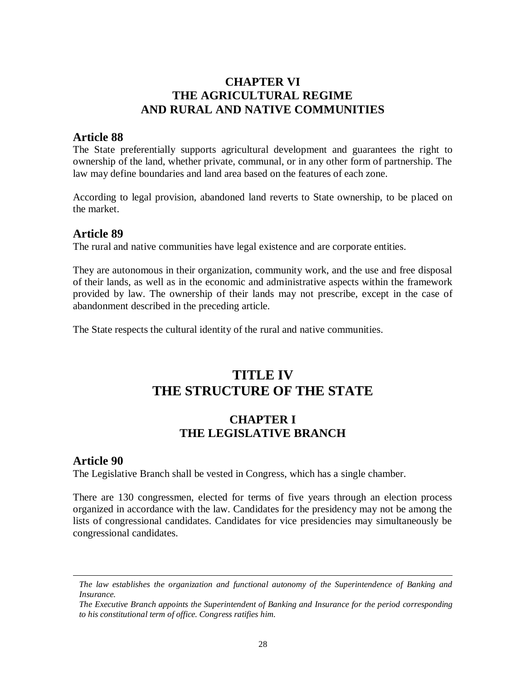# **CHAPTER VI THE AGRICULTURAL REGIME AND RURAL AND NATIVE COMMUNITIES**

#### **Article 88**

The State preferentially supports agricultural development and guarantees the right to ownership of the land, whether private, communal, or in any other form of partnership. The law may define boundaries and land area based on the features of each zone.

According to legal provision, abandoned land reverts to State ownership, to be placed on the market.

#### **Article 89**

The rural and native communities have legal existence and are corporate entities.

They are autonomous in their organization, community work, and the use and free disposal of their lands, as well as in the economic and administrative aspects within the framework provided by law. The ownership of their lands may not prescribe, except in the case of abandonment described in the preceding article.

The State respects the cultural identity of the rural and native communities.

# **TITLE IV THE STRUCTURE OF THE STATE**

# **CHAPTER I THE LEGISLATIVE BRANCH**

#### **Article 90**

-

The Legislative Branch shall be vested in Congress, which has a single chamber.

There are 130 congressmen, elected for terms of five years through an election process organized in accordance with the law. Candidates for the presidency may not be among the lists of congressional candidates. Candidates for vice presidencies may simultaneously be congressional candidates.

*The law establishes the organization and functional autonomy of the Superintendence of Banking and Insurance.*

*The Executive Branch appoints the Superintendent of Banking and Insurance for the period corresponding to his constitutional term of office. Congress ratifies him.*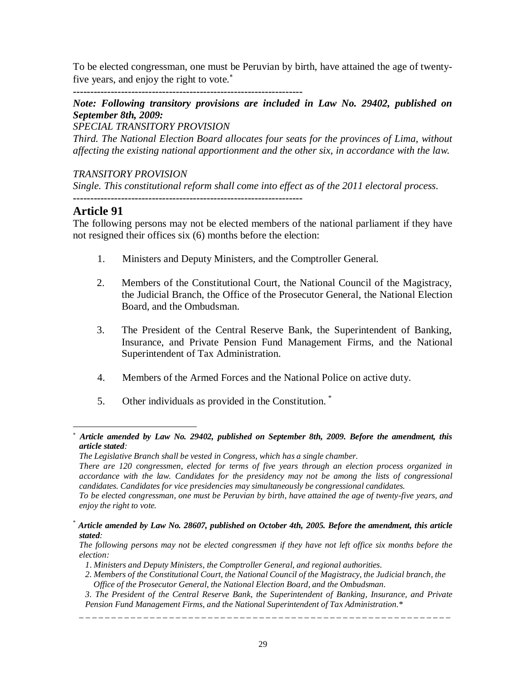To be elected congressman, one must be Peruvian by birth, have attained the age of twentyfive years, and enjoy the right to vote.

**-------------------------------------------------------------------**

*Note: Following transitory provisions are included in Law No. 29402, published on September 8th, 2009:*

*SPECIAL TRANSITORY PROVISION*

*Third. The National Election Board allocates four seats for the provinces of Lima, without affecting the existing national apportionment and the other six, in accordance with the law.*

#### *TRANSITORY PROVISION*

*Single. This constitutional reform shall come into effect as of the 2011 electoral process.*

**-------------------------------------------------------------------**

#### **Article 91**

l

The following persons may not be elected members of the national parliament if they have not resigned their offices six (6) months before the election:

- 1. Ministers and Deputy Ministers, and the Comptroller General.
- 2. Members of the Constitutional Court, the National Council of the Magistracy, the Judicial Branch, the Office of the Prosecutor General, the National Election Board, and the Ombudsman.
- 3. The President of the Central Reserve Bank, the Superintendent of Banking, Insurance, and Private Pension Fund Management Firms, and the National Superintendent of Tax Administration.
- 4. Members of the Armed Forces and the National Police on active duty.
- 5. Other individuals as provided in the Constitution. \*

*The Legislative Branch shall be vested in Congress, which has a single chamber.*

 *There are 120 congressmen, elected for terms of five years through an election process organized in accordance with the law. Candidates for the presidency may not be among the lists of congressional candidates. Candidates for vice presidencies may simultaneously be congressional candidates.*

*Article amended by Law No. 29402, published on September 8th, 2009. Before the amendment, this article stated:*

*To be elected congressman, one must be Peruvian by birth, have attained the age of twenty-five years, and enjoy the right to vote.*

<sup>\*</sup> *Article amended by Law No. 28607, published on October 4th, 2005. Before the amendment, this article stated:*

*The following persons may not be elected congressmen if they have not left office six months before the election:*

*<sup>1</sup>*. *Ministers and Deputy Ministers, the Comptroller General, and regional authorities.*

*<sup>2.</sup> Members of the Constitutional Court, the National Council of the Magistracy, the Judicial branch, the Office of the Prosecutor General, the National Election Board, and the Ombudsman.*

*<sup>3.</sup> The President of the Central Reserve Bank, the Superintendent of Banking, Insurance, and Private Pension Fund Management Firms, and the National Superintendent of Tax Administration.\**

\_ \_ \_ \_ \_ \_ \_ \_ \_ \_ \_ \_ \_ \_ \_ \_ \_ \_ \_ \_ \_ \_ \_ \_ \_ \_ \_ \_ \_ \_ \_ \_ \_ \_ \_ \_ \_ \_ \_ \_ \_ \_ \_ \_ \_ \_ \_ \_ \_ \_ \_ \_ \_ \_ \_ \_ \_ \_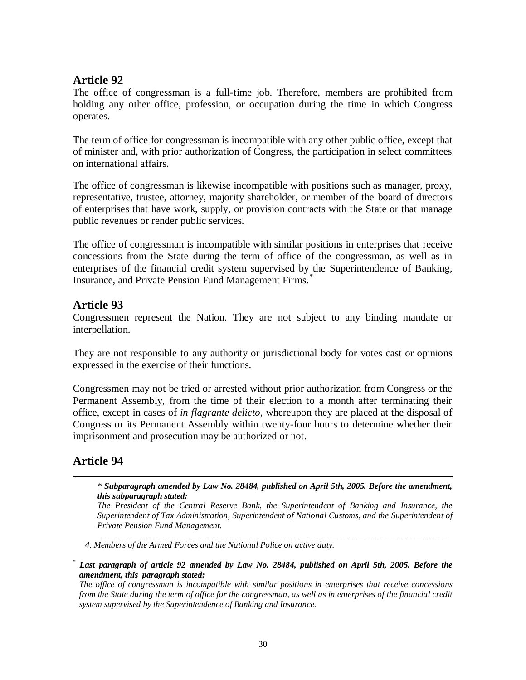The office of congressman is a full-time job. Therefore, members are prohibited from holding any other office, profession, or occupation during the time in which Congress operates.

The term of office for congressman is incompatible with any other public office, except that of minister and, with prior authorization of Congress, the participation in select committees on international affairs.

The office of congressman is likewise incompatible with positions such as manager, proxy, representative, trustee, attorney, majority shareholder, or member of the board of directors of enterprises that have work, supply, or provision contracts with the State or that manage public revenues or render public services.

The office of congressman is incompatible with similar positions in enterprises that receive concessions from the State during the term of office of the congressman, as well as in enterprises of the financial credit system supervised by the Superintendence of Banking, Insurance, and Private Pension Fund Management Firms.<sup>\*</sup>

#### **Article 93**

Congressmen represent the Nation. They are not subject to any binding mandate or interpellation.

They are not responsible to any authority or jurisdictional body for votes cast or opinions expressed in the exercise of their functions.

Congressmen may not be tried or arrested without prior authorization from Congress or the Permanent Assembly, from the time of their election to a month after terminating their office, except in cases of *in flagrante delicto*, whereupon they are placed at the disposal of Congress or its Permanent Assembly within twenty-four hours to determine whether their imprisonment and prosecution may be authorized or not.

# **Article 94**

l

*\* Subparagraph amended by Law No. 28484, published on April 5th, 2005. Before the amendment, this subparagraph stated:*

*The President of the Central Reserve Bank, the Superintendent of Banking and Insurance, the Superintendent of Tax Administration, Superintendent of National Customs, and the Superintendent of Private Pension Fund Management.*

 *\_ \_ \_ \_ \_ \_ \_ \_ \_ \_ \_ \_ \_ \_ \_ \_ \_ \_ \_ \_ \_ \_ \_ \_ \_ \_ \_ \_ \_ \_ \_ \_ \_ \_ \_ \_ \_ \_ \_ \_ \_ \_ \_ \_ \_ \_ \_ \_ \_ \_ \_ \_ \_ \_ 4. Members of the Armed Forces and the National Police on active duty.*

Last paragraph of article 92 amended by Law No. 28484, published on April 5th, 2005. Before the *amendment, this paragraph stated:*

*The office of congressman is incompatible with similar positions in enterprises that receive concessions from the State during the term of office for the congressman, as well as in enterprises of the financial credit system supervised by the Superintendence of Banking and Insurance.*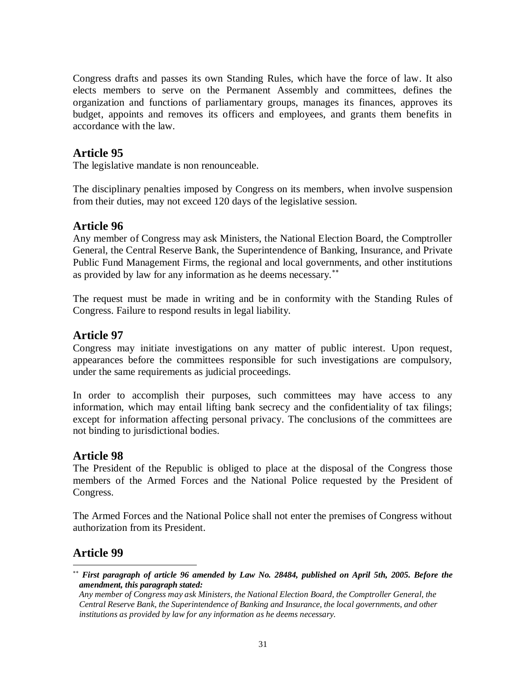Congress drafts and passes its own Standing Rules, which have the force of law. It also elects members to serve on the Permanent Assembly and committees, defines the organization and functions of parliamentary groups, manages its finances, approves its budget, appoints and removes its officers and employees, and grants them benefits in accordance with the law.

#### **Article 95**

The legislative mandate is non renounceable.

The disciplinary penalties imposed by Congress on its members, when involve suspension from their duties, may not exceed 120 days of the legislative session.

#### **Article 96**

Any member of Congress may ask Ministers, the National Election Board, the Comptroller General, the Central Reserve Bank, the Superintendence of Banking, Insurance, and Private Public Fund Management Firms, the regional and local governments, and other institutions as provided by law for any information as he deems necessary.

The request must be made in writing and be in conformity with the Standing Rules of Congress. Failure to respond results in legal liability.

#### **Article 97**

Congress may initiate investigations on any matter of public interest. Upon request, appearances before the committees responsible for such investigations are compulsory, under the same requirements as judicial proceedings.

In order to accomplish their purposes, such committees may have access to any information, which may entail lifting bank secrecy and the confidentiality of tax filings; except for information affecting personal privacy. The conclusions of the committees are not binding to jurisdictional bodies.

#### **Article 98**

The President of the Republic is obliged to place at the disposal of the Congress those members of the Armed Forces and the National Police requested by the President of Congress.

The Armed Forces and the National Police shall not enter the premises of Congress without authorization from its President.

#### **Article 99**

l

*First paragraph of article 96 amended by Law No. 28484, published on April 5th, 2005. Before the amendment, this paragraph stated:*

*Any member of Congress may ask Ministers, the National Election Board, the Comptroller General, the Central Reserve Bank, the Superintendence of Banking and Insurance, the local governments, and other institutions as provided by law for any information as he deems necessary.*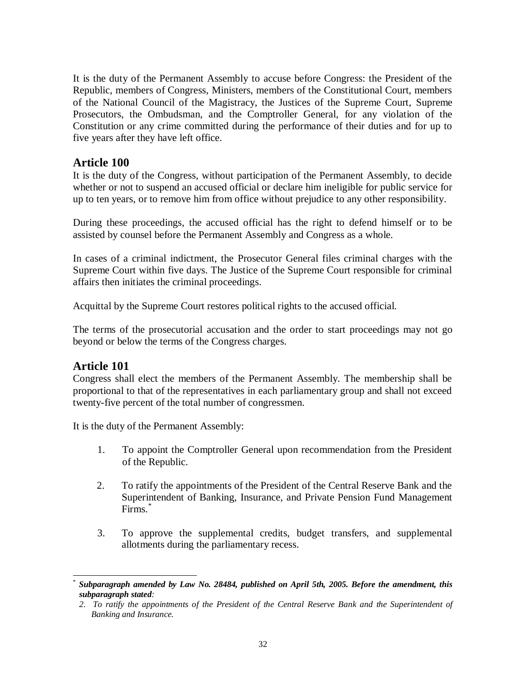It is the duty of the Permanent Assembly to accuse before Congress: the President of the Republic, members of Congress, Ministers, members of the Constitutional Court, members of the National Council of the Magistracy, the Justices of the Supreme Court, Supreme Prosecutors, the Ombudsman, and the Comptroller General, for any violation of the Constitution or any crime committed during the performance of their duties and for up to five years after they have left office.

#### **Article 100**

It is the duty of the Congress, without participation of the Permanent Assembly, to decide whether or not to suspend an accused official or declare him ineligible for public service for up to ten years, or to remove him from office without prejudice to any other responsibility.

During these proceedings, the accused official has the right to defend himself or to be assisted by counsel before the Permanent Assembly and Congress as a whole.

In cases of a criminal indictment, the Prosecutor General files criminal charges with the Supreme Court within five days. The Justice of the Supreme Court responsible for criminal affairs then initiates the criminal proceedings.

Acquittal by the Supreme Court restores political rights to the accused official.

The terms of the prosecutorial accusation and the order to start proceedings may not go beyond or below the terms of the Congress charges.

#### **Article 101**

-

Congress shall elect the members of the Permanent Assembly. The membership shall be proportional to that of the representatives in each parliamentary group and shall not exceed twenty-five percent of the total number of congressmen.

It is the duty of the Permanent Assembly:

- 1. To appoint the Comptroller General upon recommendation from the President of the Republic.
- 2. To ratify the appointments of the President of the Central Reserve Bank and the Superintendent of Banking, Insurance, and Private Pension Fund Management Firms.<sup>\*</sup>
- 3. To approve the supplemental credits, budget transfers, and supplemental allotments during the parliamentary recess.

<sup>\*</sup> *Subparagraph amended by Law No. 28484, published on April 5th, 2005. Before the amendment, this subparagraph stated:*

*<sup>2.</sup> To ratify the appointments of the President of the Central Reserve Bank and the Superintendent of Banking and Insurance.*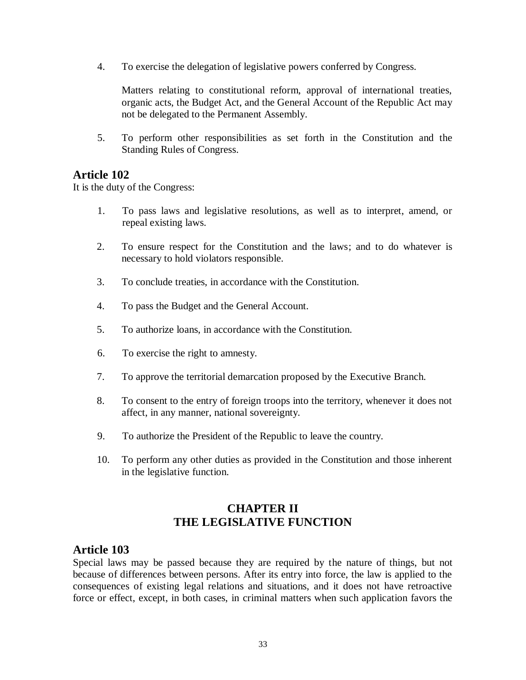4. To exercise the delegation of legislative powers conferred by Congress.

Matters relating to constitutional reform, approval of international treaties, organic acts, the Budget Act, and the General Account of the Republic Act may not be delegated to the Permanent Assembly.

5. To perform other responsibilities as set forth in the Constitution and the Standing Rules of Congress.

#### **Article 102**

It is the duty of the Congress:

- 1. To pass laws and legislative resolutions, as well as to interpret, amend, or repeal existing laws.
- 2. To ensure respect for the Constitution and the laws; and to do whatever is necessary to hold violators responsible.
- 3. To conclude treaties, in accordance with the Constitution.
- 4. To pass the Budget and the General Account.
- 5. To authorize loans, in accordance with the Constitution.
- 6. To exercise the right to amnesty.
- 7. To approve the territorial demarcation proposed by the Executive Branch.
- 8. To consent to the entry of foreign troops into the territory, whenever it does not affect, in any manner, national sovereignty.
- 9. To authorize the President of the Republic to leave the country.
- 10. To perform any other duties as provided in the Constitution and those inherent in the legislative function.

# **CHAPTER II THE LEGISLATIVE FUNCTION**

#### **Article 103**

Special laws may be passed because they are required by the nature of things, but not because of differences between persons. After its entry into force, the law is applied to the consequences of existing legal relations and situations, and it does not have retroactive force or effect, except, in both cases, in criminal matters when such application favors the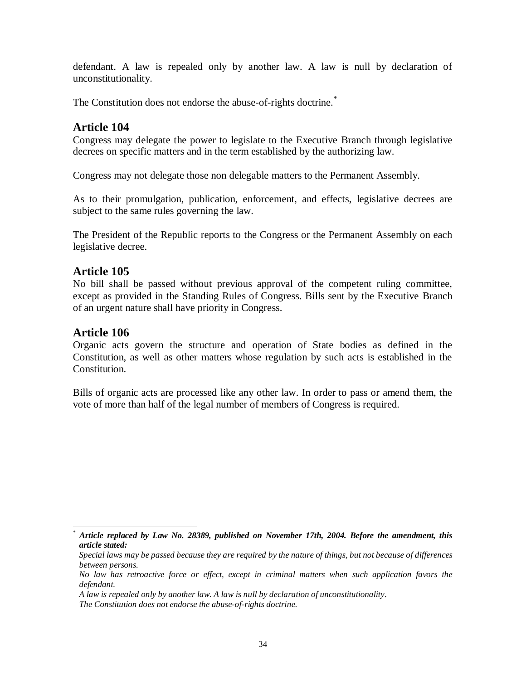defendant. A law is repealed only by another law. A law is null by declaration of unconstitutionality.

The Constitution does not endorse the abuse-of-rights doctrine.<sup>\*</sup>

#### **Article 104**

Congress may delegate the power to legislate to the Executive Branch through legislative decrees on specific matters and in the term established by the authorizing law.

Congress may not delegate those non delegable matters to the Permanent Assembly.

As to their promulgation, publication, enforcement, and effects, legislative decrees are subject to the same rules governing the law.

The President of the Republic reports to the Congress or the Permanent Assembly on each legislative decree.

#### **Article 105**

No bill shall be passed without previous approval of the competent ruling committee, except as provided in the Standing Rules of Congress. Bills sent by the Executive Branch of an urgent nature shall have priority in Congress.

#### **Article 106**

-

Organic acts govern the structure and operation of State bodies as defined in the Constitution, as well as other matters whose regulation by such acts is established in the Constitution.

Bills of organic acts are processed like any other law. In order to pass or amend them, the vote of more than half of the legal number of members of Congress is required.

<sup>\*</sup> *Article replaced by Law No. 28389, published on November 17th, 2004. Before the amendment, this article stated:*

*Special laws may be passed because they are required by the nature of things, but not because of differences between persons.*

*No law has retroactive force or effect, except in criminal matters when such application favors the defendant.*

*A law is repealed only by another law. A law is null by declaration of unconstitutionality*. *The Constitution does not endorse the abuse-of-rights doctrine.*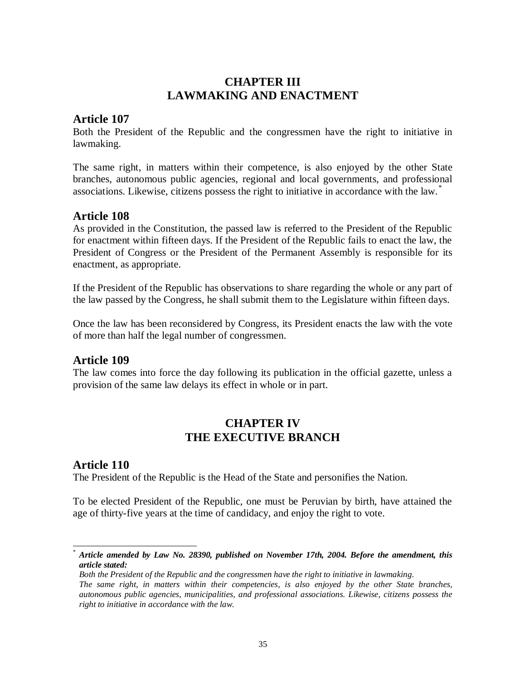# **CHAPTER III LAWMAKING AND ENACTMENT**

#### **Article 107**

Both the President of the Republic and the congressmen have the right to initiative in lawmaking.

The same right, in matters within their competence, is also enjoyed by the other State branches, autonomous public agencies, regional and local governments, and professional associations. Likewise, citizens possess the right to initiative in accordance with the law.<sup>\*</sup>

# **Article 108**

As provided in the Constitution, the passed law is referred to the President of the Republic for enactment within fifteen days. If the President of the Republic fails to enact the law, the President of Congress or the President of the Permanent Assembly is responsible for its enactment, as appropriate.

If the President of the Republic has observations to share regarding the whole or any part of the law passed by the Congress, he shall submit them to the Legislature within fifteen days.

Once the law has been reconsidered by Congress, its President enacts the law with the vote of more than half the legal number of congressmen.

# **Article 109**

The law comes into force the day following its publication in the official gazette, unless a provision of the same law delays its effect in whole or in part.

# **CHAPTER IV THE EXECUTIVE BRANCH**

# **Article 110**

l

The President of the Republic is the Head of the State and personifies the Nation.

To be elected President of the Republic, one must be Peruvian by birth, have attained the age of thirty-five years at the time of candidacy, and enjoy the right to vote.

<sup>\*</sup> *Article amended by Law No. 28390, published on November 17th, 2004. Before the amendment, this article stated:*

*Both the President of the Republic and the congressmen have the right to initiative in lawmaking.*

*The same right, in matters within their competencies, is also enjoyed by the other State branches, autonomous public agencies, municipalities, and professional associations. Likewise, citizens possess the right to initiative in accordance with the law.*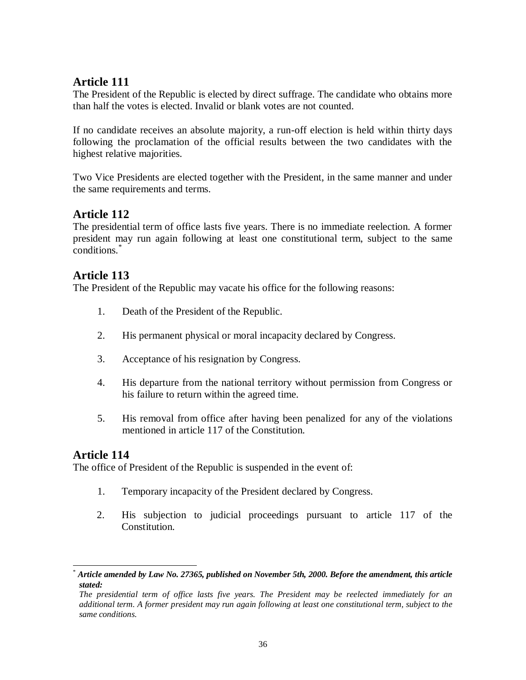The President of the Republic is elected by direct suffrage. The candidate who obtains more than half the votes is elected. Invalid or blank votes are not counted.

If no candidate receives an absolute majority, a run-off election is held within thirty days following the proclamation of the official results between the two candidates with the highest relative majorities.

Two Vice Presidents are elected together with the President, in the same manner and under the same requirements and terms.

#### **Article 112**

The presidential term of office lasts five years. There is no immediate reelection. A former president may run again following at least one constitutional term, subject to the same conditions.\*

# **Article 113**

The President of the Republic may vacate his office for the following reasons:

- 1. Death of the President of the Republic.
- 2. His permanent physical or moral incapacity declared by Congress.
- 3. Acceptance of his resignation by Congress.
- 4. His departure from the national territory without permission from Congress or his failure to return within the agreed time.
- 5. His removal from office after having been penalized for any of the violations mentioned in article 117 of the Constitution.

#### **Article 114**

The office of President of the Republic is suspended in the event of:

- 1. Temporary incapacity of the President declared by Congress.
- 2. His subjection to judicial proceedings pursuant to article 117 of the Constitution.

l \* *Article amended by Law No. 27365, published on November 5th, 2000. Before the amendment, this article stated:*

*The presidential term of office lasts five years. The President may be reelected immediately for an additional term. A former president may run again following at least one constitutional term, subject to the same conditions.*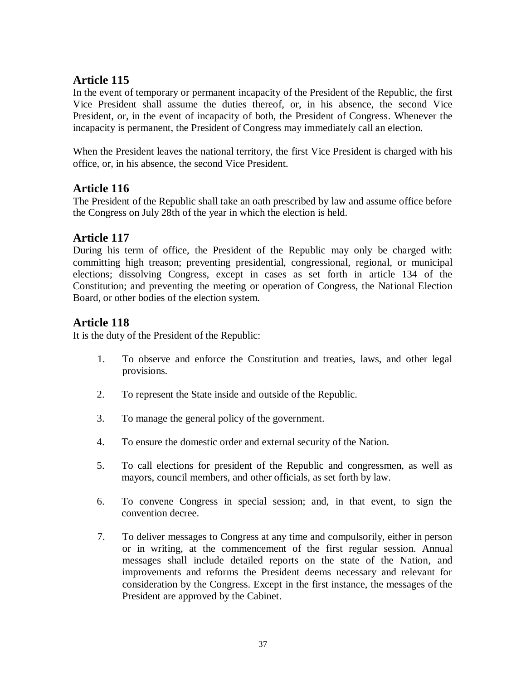In the event of temporary or permanent incapacity of the President of the Republic, the first Vice President shall assume the duties thereof, or, in his absence, the second Vice President, or, in the event of incapacity of both, the President of Congress. Whenever the incapacity is permanent, the President of Congress may immediately call an election.

When the President leaves the national territory, the first Vice President is charged with his office, or, in his absence, the second Vice President.

## **Article 116**

The President of the Republic shall take an oath prescribed by law and assume office before the Congress on July 28th of the year in which the election is held.

## **Article 117**

During his term of office, the President of the Republic may only be charged with: committing high treason; preventing presidential, congressional, regional, or municipal elections; dissolving Congress, except in cases as set forth in article 134 of the Constitution; and preventing the meeting or operation of Congress, the National Election Board, or other bodies of the election system.

## **Article 118**

It is the duty of the President of the Republic:

- 1. To observe and enforce the Constitution and treaties, laws, and other legal provisions.
- 2. To represent the State inside and outside of the Republic.
- 3. To manage the general policy of the government.
- 4. To ensure the domestic order and external security of the Nation.
- 5. To call elections for president of the Republic and congressmen, as well as mayors, council members, and other officials, as set forth by law.
- 6. To convene Congress in special session; and, in that event, to sign the convention decree.
- 7. To deliver messages to Congress at any time and compulsorily, either in person or in writing, at the commencement of the first regular session. Annual messages shall include detailed reports on the state of the Nation, and improvements and reforms the President deems necessary and relevant for consideration by the Congress. Except in the first instance, the messages of the President are approved by the Cabinet.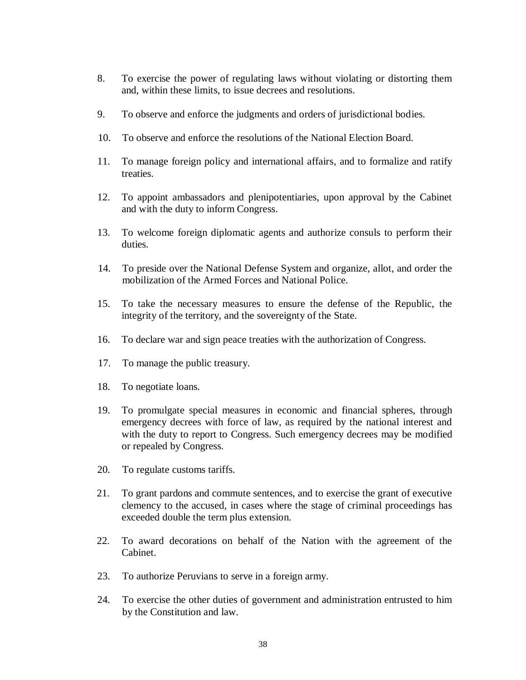- 8. To exercise the power of regulating laws without violating or distorting them and, within these limits, to issue decrees and resolutions.
- 9. To observe and enforce the judgments and orders of jurisdictional bodies.
- 10. To observe and enforce the resolutions of the National Election Board.
- 11. To manage foreign policy and international affairs, and to formalize and ratify treaties.
- 12. To appoint ambassadors and plenipotentiaries, upon approval by the Cabinet and with the duty to inform Congress.
- 13. To welcome foreign diplomatic agents and authorize consuls to perform their duties.
- 14. To preside over the National Defense System and organize, allot, and order the mobilization of the Armed Forces and National Police.
- 15. To take the necessary measures to ensure the defense of the Republic, the integrity of the territory, and the sovereignty of the State.
- 16. To declare war and sign peace treaties with the authorization of Congress.
- 17. To manage the public treasury.
- 18. To negotiate loans.
- 19. To promulgate special measures in economic and financial spheres, through emergency decrees with force of law, as required by the national interest and with the duty to report to Congress. Such emergency decrees may be modified or repealed by Congress.
- 20. To regulate customs tariffs.
- 21. To grant pardons and commute sentences, and to exercise the grant of executive clemency to the accused, in cases where the stage of criminal proceedings has exceeded double the term plus extension.
- 22. To award decorations on behalf of the Nation with the agreement of the Cabinet.
- 23. To authorize Peruvians to serve in a foreign army.
- 24. To exercise the other duties of government and administration entrusted to him by the Constitution and law.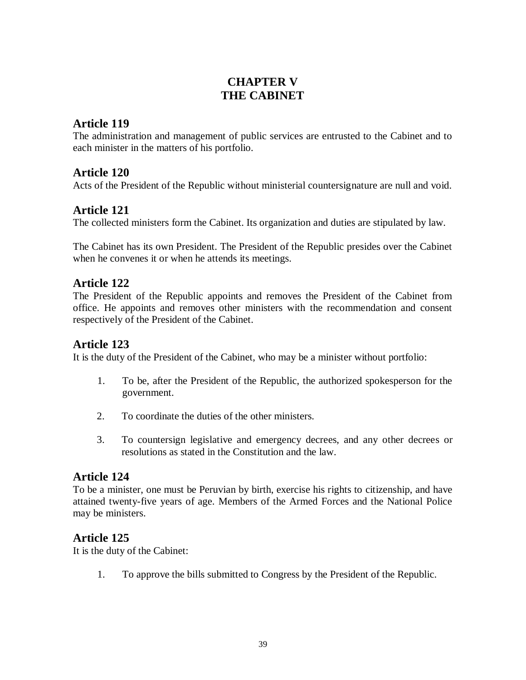# **CHAPTER V THE CABINET**

## **Article 119**

The administration and management of public services are entrusted to the Cabinet and to each minister in the matters of his portfolio.

## **Article 120**

Acts of the President of the Republic without ministerial countersignature are null and void.

## **Article 121**

The collected ministers form the Cabinet. Its organization and duties are stipulated by law.

The Cabinet has its own President. The President of the Republic presides over the Cabinet when he convenes it or when he attends its meetings.

## **Article 122**

The President of the Republic appoints and removes the President of the Cabinet from office. He appoints and removes other ministers with the recommendation and consent respectively of the President of the Cabinet.

## **Article 123**

It is the duty of the President of the Cabinet, who may be a minister without portfolio:

- 1. To be, after the President of the Republic, the authorized spokesperson for the government.
- 2. To coordinate the duties of the other ministers.
- 3. To countersign legislative and emergency decrees, and any other decrees or resolutions as stated in the Constitution and the law.

## **Article 124**

To be a minister, one must be Peruvian by birth, exercise his rights to citizenship, and have attained twenty-five years of age. Members of the Armed Forces and the National Police may be ministers.

#### **Article 125**

It is the duty of the Cabinet:

1. To approve the bills submitted to Congress by the President of the Republic.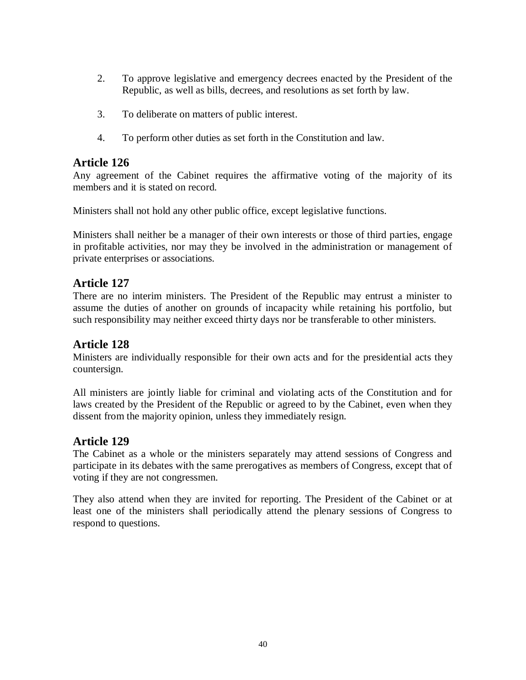- 2. To approve legislative and emergency decrees enacted by the President of the Republic, as well as bills, decrees, and resolutions as set forth by law.
- 3. To deliberate on matters of public interest.
- 4. To perform other duties as set forth in the Constitution and law.

Any agreement of the Cabinet requires the affirmative voting of the majority of its members and it is stated on record.

Ministers shall not hold any other public office, except legislative functions.

Ministers shall neither be a manager of their own interests or those of third parties, engage in profitable activities, nor may they be involved in the administration or management of private enterprises or associations.

### **Article 127**

There are no interim ministers. The President of the Republic may entrust a minister to assume the duties of another on grounds of incapacity while retaining his portfolio, but such responsibility may neither exceed thirty days nor be transferable to other ministers.

#### **Article 128**

Ministers are individually responsible for their own acts and for the presidential acts they countersign.

All ministers are jointly liable for criminal and violating acts of the Constitution and for laws created by the President of the Republic or agreed to by the Cabinet, even when they dissent from the majority opinion, unless they immediately resign.

## **Article 129**

The Cabinet as a whole or the ministers separately may attend sessions of Congress and participate in its debates with the same prerogatives as members of Congress, except that of voting if they are not congressmen.

They also attend when they are invited for reporting. The President of the Cabinet or at least one of the ministers shall periodically attend the plenary sessions of Congress to respond to questions.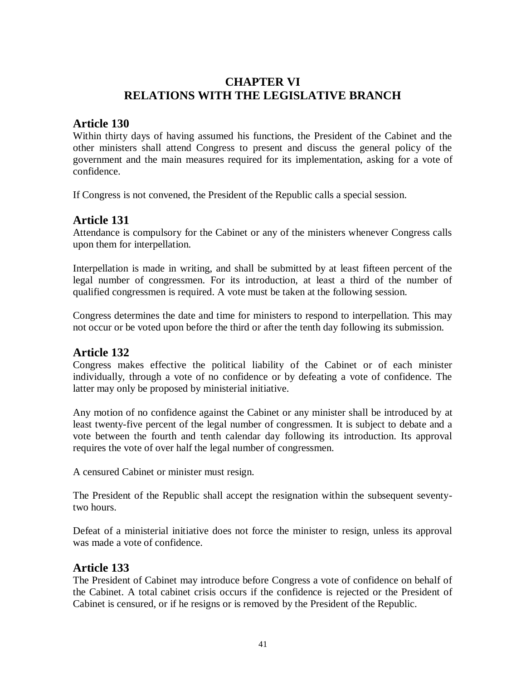## **CHAPTER VI RELATIONS WITH THE LEGISLATIVE BRANCH**

## **Article 130**

Within thirty days of having assumed his functions, the President of the Cabinet and the other ministers shall attend Congress to present and discuss the general policy of the government and the main measures required for its implementation, asking for a vote of confidence.

If Congress is not convened, the President of the Republic calls a special session.

## **Article 131**

Attendance is compulsory for the Cabinet or any of the ministers whenever Congress calls upon them for interpellation.

Interpellation is made in writing, and shall be submitted by at least fifteen percent of the legal number of congressmen. For its introduction, at least a third of the number of qualified congressmen is required. A vote must be taken at the following session.

Congress determines the date and time for ministers to respond to interpellation. This may not occur or be voted upon before the third or after the tenth day following its submission.

## **Article 132**

Congress makes effective the political liability of the Cabinet or of each minister individually, through a vote of no confidence or by defeating a vote of confidence. The latter may only be proposed by ministerial initiative.

Any motion of no confidence against the Cabinet or any minister shall be introduced by at least twenty-five percent of the legal number of congressmen. It is subject to debate and a vote between the fourth and tenth calendar day following its introduction. Its approval requires the vote of over half the legal number of congressmen.

A censured Cabinet or minister must resign.

The President of the Republic shall accept the resignation within the subsequent seventytwo hours.

Defeat of a ministerial initiative does not force the minister to resign, unless its approval was made a vote of confidence.

## **Article 133**

The President of Cabinet may introduce before Congress a vote of confidence on behalf of the Cabinet. A total cabinet crisis occurs if the confidence is rejected or the President of Cabinet is censured, or if he resigns or is removed by the President of the Republic.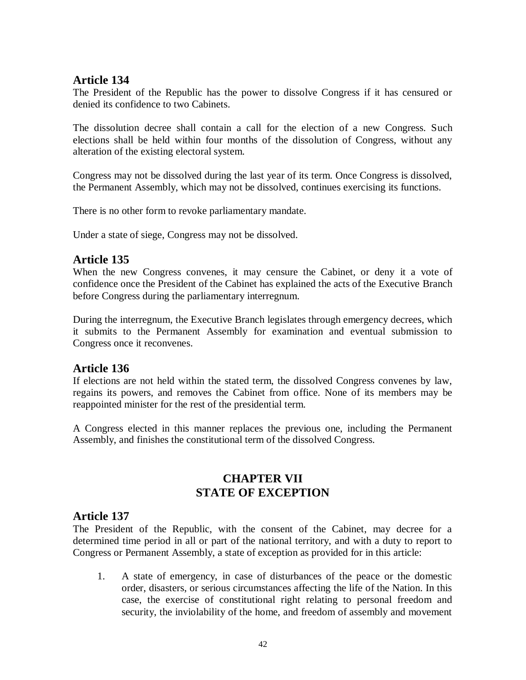The President of the Republic has the power to dissolve Congress if it has censured or denied its confidence to two Cabinets.

The dissolution decree shall contain a call for the election of a new Congress. Such elections shall be held within four months of the dissolution of Congress, without any alteration of the existing electoral system.

Congress may not be dissolved during the last year of its term. Once Congress is dissolved, the Permanent Assembly, which may not be dissolved, continues exercising its functions.

There is no other form to revoke parliamentary mandate.

Under a state of siege, Congress may not be dissolved.

## **Article 135**

When the new Congress convenes, it may censure the Cabinet, or deny it a vote of confidence once the President of the Cabinet has explained the acts of the Executive Branch before Congress during the parliamentary interregnum.

During the interregnum, the Executive Branch legislates through emergency decrees, which it submits to the Permanent Assembly for examination and eventual submission to Congress once it reconvenes.

## **Article 136**

If elections are not held within the stated term, the dissolved Congress convenes by law, regains its powers, and removes the Cabinet from office. None of its members may be reappointed minister for the rest of the presidential term.

A Congress elected in this manner replaces the previous one, including the Permanent Assembly, and finishes the constitutional term of the dissolved Congress.

## **CHAPTER VII STATE OF EXCEPTION**

## **Article 137**

The President of the Republic, with the consent of the Cabinet, may decree for a determined time period in all or part of the national territory, and with a duty to report to Congress or Permanent Assembly, a state of exception as provided for in this article:

1. A state of emergency, in case of disturbances of the peace or the domestic order, disasters, or serious circumstances affecting the life of the Nation. In this case, the exercise of constitutional right relating to personal freedom and security, the inviolability of the home, and freedom of assembly and movement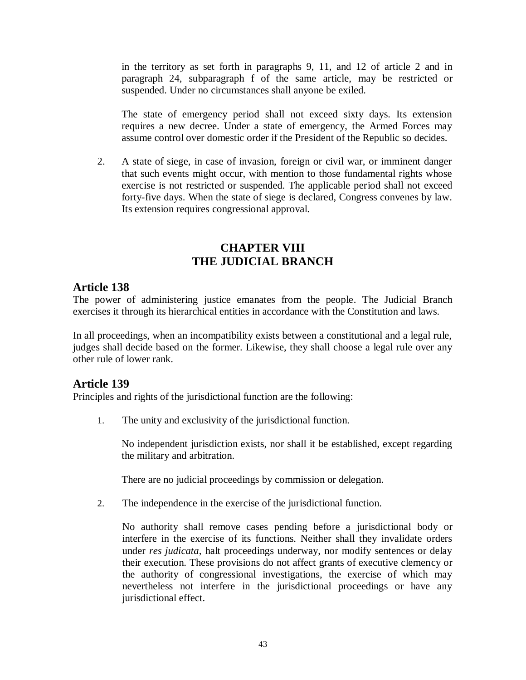in the territory as set forth in paragraphs 9, 11, and 12 of article 2 and in paragraph 24, subparagraph f of the same article, may be restricted or suspended. Under no circumstances shall anyone be exiled.

The state of emergency period shall not exceed sixty days. Its extension requires a new decree. Under a state of emergency, the Armed Forces may assume control over domestic order if the President of the Republic so decides.

2. A state of siege, in case of invasion, foreign or civil war, or imminent danger that such events might occur, with mention to those fundamental rights whose exercise is not restricted or suspended. The applicable period shall not exceed forty-five days. When the state of siege is declared, Congress convenes by law. Its extension requires congressional approval.

## **CHAPTER VIII THE JUDICIAL BRANCH**

## **Article 138**

The power of administering justice emanates from the people. The Judicial Branch exercises it through its hierarchical entities in accordance with the Constitution and laws.

In all proceedings, when an incompatibility exists between a constitutional and a legal rule, judges shall decide based on the former. Likewise, they shall choose a legal rule over any other rule of lower rank.

## **Article 139**

Principles and rights of the jurisdictional function are the following:

1. The unity and exclusivity of the jurisdictional function.

No independent jurisdiction exists, nor shall it be established, except regarding the military and arbitration.

There are no judicial proceedings by commission or delegation.

2. The independence in the exercise of the jurisdictional function.

No authority shall remove cases pending before a jurisdictional body or interfere in the exercise of its functions. Neither shall they invalidate orders under *res judicata*, halt proceedings underway, nor modify sentences or delay their execution. These provisions do not affect grants of executive clemency or the authority of congressional investigations, the exercise of which may nevertheless not interfere in the jurisdictional proceedings or have any jurisdictional effect.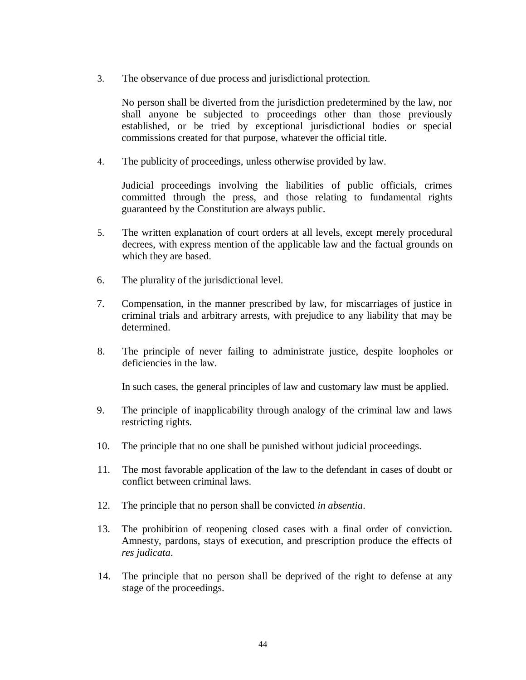3. The observance of due process and jurisdictional protection.

No person shall be diverted from the jurisdiction predetermined by the law, nor shall anyone be subjected to proceedings other than those previously established, or be tried by exceptional jurisdictional bodies or special commissions created for that purpose, whatever the official title.

4. The publicity of proceedings, unless otherwise provided by law.

Judicial proceedings involving the liabilities of public officials, crimes committed through the press, and those relating to fundamental rights guaranteed by the Constitution are always public.

- 5. The written explanation of court orders at all levels, except merely procedural decrees, with express mention of the applicable law and the factual grounds on which they are based.
- 6. The plurality of the jurisdictional level.
- 7. Compensation, in the manner prescribed by law, for miscarriages of justice in criminal trials and arbitrary arrests, with prejudice to any liability that may be determined.
- 8. The principle of never failing to administrate justice, despite loopholes or deficiencies in the law.

In such cases, the general principles of law and customary law must be applied.

- 9. The principle of inapplicability through analogy of the criminal law and laws restricting rights.
- 10. The principle that no one shall be punished without judicial proceedings.
- 11. The most favorable application of the law to the defendant in cases of doubt or conflict between criminal laws.
- 12. The principle that no person shall be convicted *in absentia*.
- 13. The prohibition of reopening closed cases with a final order of conviction. Amnesty, pardons, stays of execution, and prescription produce the effects of *res judicata*.
- 14. The principle that no person shall be deprived of the right to defense at any stage of the proceedings.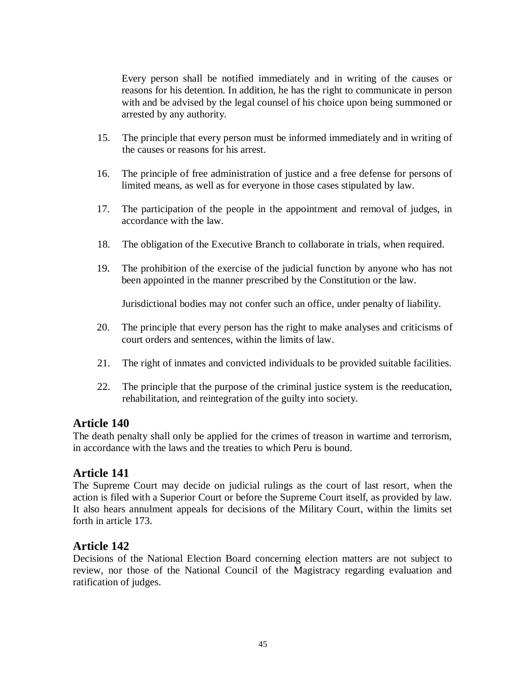Every person shall be notified immediately and in writing of the causes or reasons for his detention. In addition, he has the right to communicate in person with and be advised by the legal counsel of his choice upon being summoned or arrested by any authority.

- 15. The principle that every person must be informed immediately and in writing of the causes or reasons for his arrest.
- 16. The principle of free administration of justice and a free defense for persons of limited means, as well as for everyone in those cases stipulated by law.
- 17. The participation of the people in the appointment and removal of judges, in accordance with the law.
- 18. The obligation of the Executive Branch to collaborate in trials, when required.
- 19. The prohibition of the exercise of the judicial function by anyone who has not been appointed in the manner prescribed by the Constitution or the law.

Jurisdictional bodies may not confer such an office, under penalty of liability.

- 20. The principle that every person has the right to make analyses and criticisms of court orders and sentences, within the limits of law.
- 21. The right of inmates and convicted individuals to be provided suitable facilities.
- 22. The principle that the purpose of the criminal justice system is the reeducation, rehabilitation, and reintegration of the guilty into society.

#### **Article 140**

The death penalty shall only be applied for the crimes of treason in wartime and terrorism, in accordance with the laws and the treaties to which Peru is bound.

## **Article 141**

The Supreme Court may decide on judicial rulings as the court of last resort, when the action is filed with a Superior Court or before the Supreme Court itself, as provided by law. It also hears annulment appeals for decisions of the Military Court, within the limits set forth in article 173.

## **Article 142**

Decisions of the National Election Board concerning election matters are not subject to review, nor those of the National Council of the Magistracy regarding evaluation and ratification of judges.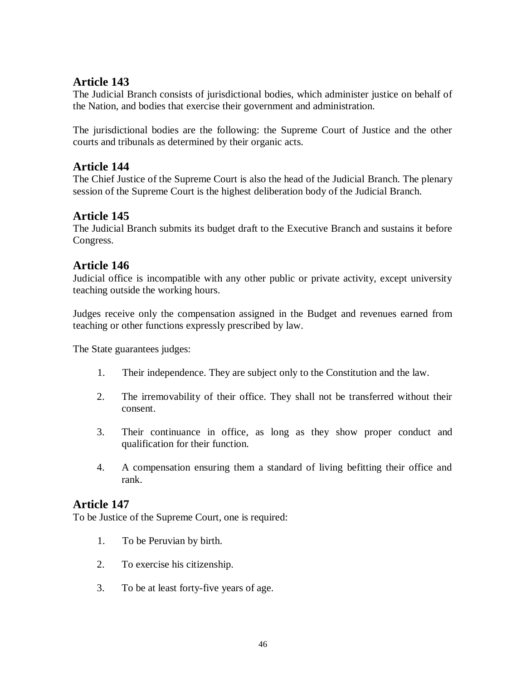The Judicial Branch consists of jurisdictional bodies, which administer justice on behalf of the Nation, and bodies that exercise their government and administration.

The jurisdictional bodies are the following: the Supreme Court of Justice and the other courts and tribunals as determined by their organic acts.

## **Article 144**

The Chief Justice of the Supreme Court is also the head of the Judicial Branch. The plenary session of the Supreme Court is the highest deliberation body of the Judicial Branch.

## **Article 145**

The Judicial Branch submits its budget draft to the Executive Branch and sustains it before Congress.

## **Article 146**

Judicial office is incompatible with any other public or private activity, except university teaching outside the working hours.

Judges receive only the compensation assigned in the Budget and revenues earned from teaching or other functions expressly prescribed by law.

The State guarantees judges:

- 1. Their independence. They are subject only to the Constitution and the law.
- 2. The irremovability of their office. They shall not be transferred without their consent.
- 3. Their continuance in office, as long as they show proper conduct and qualification for their function.
- 4. A compensation ensuring them a standard of living befitting their office and rank.

## **Article 147**

To be Justice of the Supreme Court, one is required:

- 1. To be Peruvian by birth.
- 2. To exercise his citizenship.
- 3. To be at least forty-five years of age.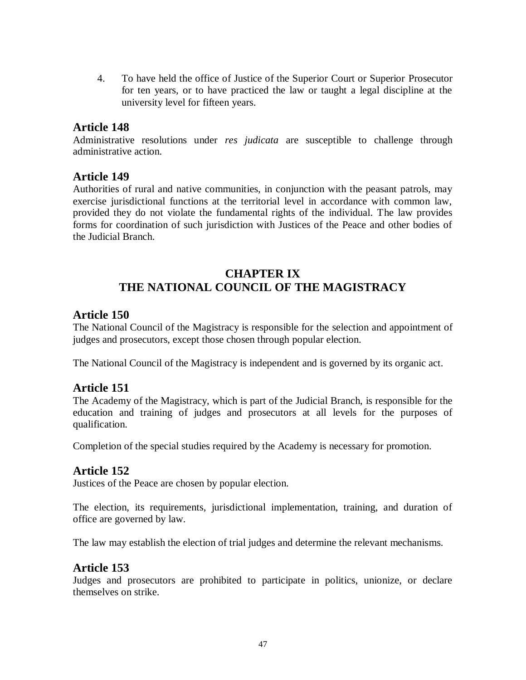4. To have held the office of Justice of the Superior Court or Superior Prosecutor for ten years, or to have practiced the law or taught a legal discipline at the university level for fifteen years.

### **Article 148**

Administrative resolutions under *res judicata* are susceptible to challenge through administrative action.

## **Article 149**

Authorities of rural and native communities, in conjunction with the peasant patrols, may exercise jurisdictional functions at the territorial level in accordance with common law, provided they do not violate the fundamental rights of the individual. The law provides forms for coordination of such jurisdiction with Justices of the Peace and other bodies of the Judicial Branch.

## **CHAPTER IX THE NATIONAL COUNCIL OF THE MAGISTRACY**

### **Article 150**

The National Council of the Magistracy is responsible for the selection and appointment of judges and prosecutors, except those chosen through popular election.

The National Council of the Magistracy is independent and is governed by its organic act.

## **Article 151**

The Academy of the Magistracy, which is part of the Judicial Branch, is responsible for the education and training of judges and prosecutors at all levels for the purposes of qualification.

Completion of the special studies required by the Academy is necessary for promotion.

## **Article 152**

Justices of the Peace are chosen by popular election.

The election, its requirements, jurisdictional implementation, training, and duration of office are governed by law.

The law may establish the election of trial judges and determine the relevant mechanisms.

#### **Article 153**

Judges and prosecutors are prohibited to participate in politics, unionize, or declare themselves on strike.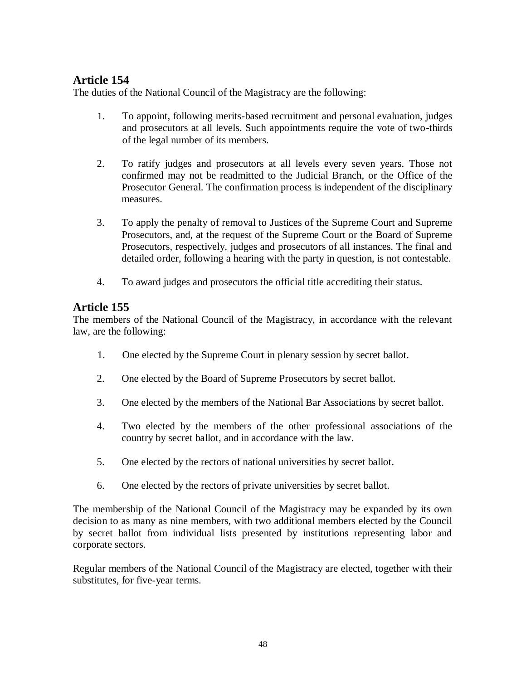The duties of the National Council of the Magistracy are the following:

- 1. To appoint, following merits-based recruitment and personal evaluation, judges and prosecutors at all levels. Such appointments require the vote of two-thirds of the legal number of its members.
- 2. To ratify judges and prosecutors at all levels every seven years. Those not confirmed may not be readmitted to the Judicial Branch, or the Office of the Prosecutor General. The confirmation process is independent of the disciplinary measures.
- 3. To apply the penalty of removal to Justices of the Supreme Court and Supreme Prosecutors, and, at the request of the Supreme Court or the Board of Supreme Prosecutors, respectively, judges and prosecutors of all instances. The final and detailed order, following a hearing with the party in question, is not contestable.
- 4. To award judges and prosecutors the official title accrediting their status.

## **Article 155**

The members of the National Council of the Magistracy, in accordance with the relevant law, are the following:

- 1. One elected by the Supreme Court in plenary session by secret ballot.
- 2. One elected by the Board of Supreme Prosecutors by secret ballot.
- 3. One elected by the members of the National Bar Associations by secret ballot.
- 4. Two elected by the members of the other professional associations of the country by secret ballot, and in accordance with the law.
- 5. One elected by the rectors of national universities by secret ballot.
- 6. One elected by the rectors of private universities by secret ballot.

The membership of the National Council of the Magistracy may be expanded by its own decision to as many as nine members, with two additional members elected by the Council by secret ballot from individual lists presented by institutions representing labor and corporate sectors.

Regular members of the National Council of the Magistracy are elected, together with their substitutes, for five-year terms.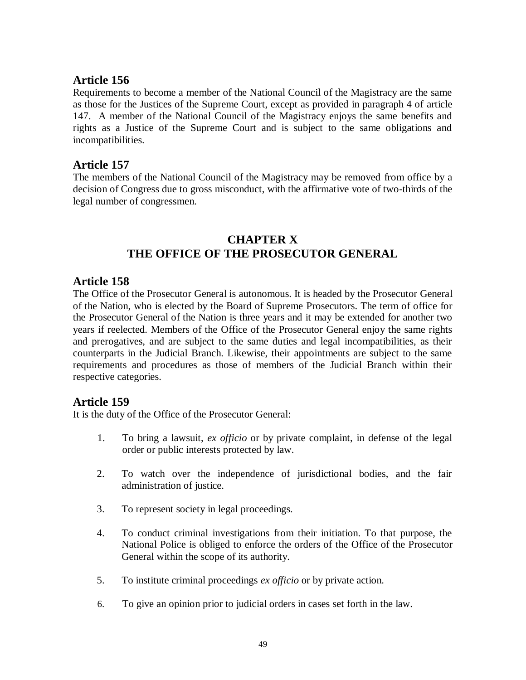Requirements to become a member of the National Council of the Magistracy are the same as those for the Justices of the Supreme Court, except as provided in paragraph 4 of article 147. A member of the National Council of the Magistracy enjoys the same benefits and rights as a Justice of the Supreme Court and is subject to the same obligations and incompatibilities.

## **Article 157**

The members of the National Council of the Magistracy may be removed from office by a decision of Congress due to gross misconduct, with the affirmative vote of two-thirds of the legal number of congressmen.

## **CHAPTER X THE OFFICE OF THE PROSECUTOR GENERAL**

## **Article 158**

The Office of the Prosecutor General is autonomous. It is headed by the Prosecutor General of the Nation, who is elected by the Board of Supreme Prosecutors. The term of office for the Prosecutor General of the Nation is three years and it may be extended for another two years if reelected. Members of the Office of the Prosecutor General enjoy the same rights and prerogatives, and are subject to the same duties and legal incompatibilities, as their counterparts in the Judicial Branch. Likewise, their appointments are subject to the same requirements and procedures as those of members of the Judicial Branch within their respective categories.

## **Article 159**

It is the duty of the Office of the Prosecutor General:

- 1. To bring a lawsuit, *ex officio* or by private complaint, in defense of the legal order or public interests protected by law.
- 2. To watch over the independence of jurisdictional bodies, and the fair administration of justice.
- 3. To represent society in legal proceedings.
- 4. To conduct criminal investigations from their initiation. To that purpose, the National Police is obliged to enforce the orders of the Office of the Prosecutor General within the scope of its authority.
- 5. To institute criminal proceedings *ex officio* or by private action.
- 6. To give an opinion prior to judicial orders in cases set forth in the law.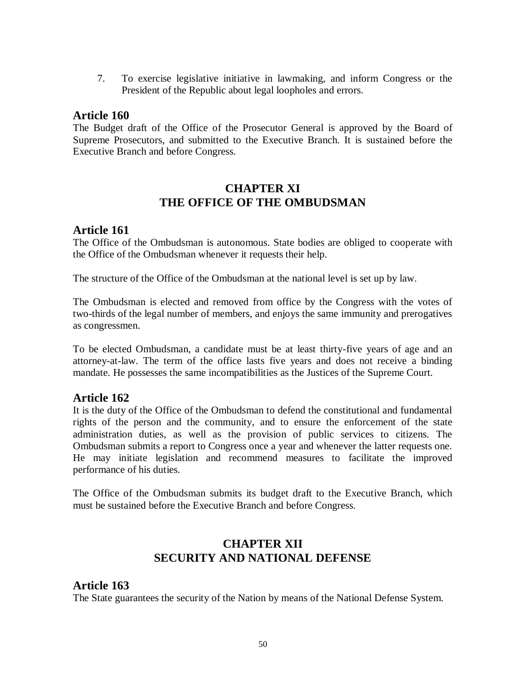7. To exercise legislative initiative in lawmaking, and inform Congress or the President of the Republic about legal loopholes and errors.

#### **Article 160**

The Budget draft of the Office of the Prosecutor General is approved by the Board of Supreme Prosecutors, and submitted to the Executive Branch. It is sustained before the Executive Branch and before Congress.

## **CHAPTER XI THE OFFICE OF THE OMBUDSMAN**

### **Article 161**

The Office of the Ombudsman is autonomous. State bodies are obliged to cooperate with the Office of the Ombudsman whenever it requests their help.

The structure of the Office of the Ombudsman at the national level is set up by law.

The Ombudsman is elected and removed from office by the Congress with the votes of two-thirds of the legal number of members, and enjoys the same immunity and prerogatives as congressmen.

To be elected Ombudsman, a candidate must be at least thirty-five years of age and an attorney-at-law. The term of the office lasts five years and does not receive a binding mandate. He possesses the same incompatibilities as the Justices of the Supreme Court.

## **Article 162**

It is the duty of the Office of the Ombudsman to defend the constitutional and fundamental rights of the person and the community, and to ensure the enforcement of the state administration duties, as well as the provision of public services to citizens. The Ombudsman submits a report to Congress once a year and whenever the latter requests one. He may initiate legislation and recommend measures to facilitate the improved performance of his duties.

The Office of the Ombudsman submits its budget draft to the Executive Branch, which must be sustained before the Executive Branch and before Congress.

## **CHAPTER XII SECURITY AND NATIONAL DEFENSE**

## **Article 163**

The State guarantees the security of the Nation by means of the National Defense System.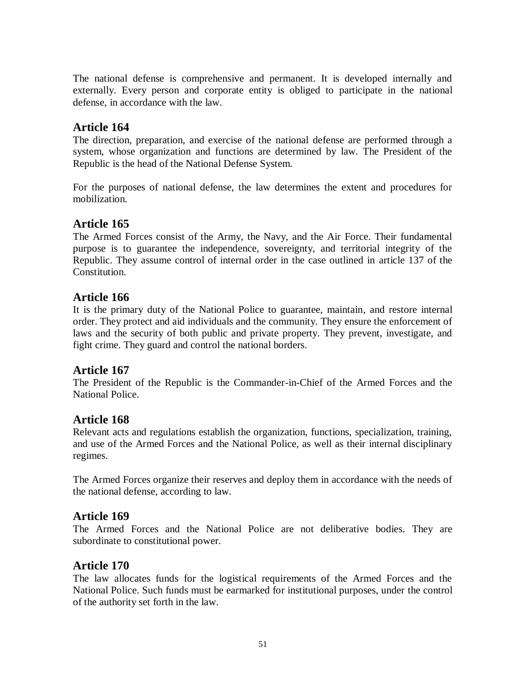The national defense is comprehensive and permanent. It is developed internally and externally. Every person and corporate entity is obliged to participate in the national defense, in accordance with the law.

## **Article 164**

The direction, preparation, and exercise of the national defense are performed through a system, whose organization and functions are determined by law. The President of the Republic is the head of the National Defense System.

For the purposes of national defense, the law determines the extent and procedures for mobilization.

## **Article 165**

The Armed Forces consist of the Army, the Navy, and the Air Force. Their fundamental purpose is to guarantee the independence, sovereignty, and territorial integrity of the Republic. They assume control of internal order in the case outlined in article 137 of the Constitution.

## **Article 166**

It is the primary duty of the National Police to guarantee, maintain, and restore internal order. They protect and aid individuals and the community. They ensure the enforcement of laws and the security of both public and private property. They prevent, investigate, and fight crime. They guard and control the national borders.

## **Article 167**

The President of the Republic is the Commander-in-Chief of the Armed Forces and the National Police.

## **Article 168**

Relevant acts and regulations establish the organization, functions, specialization, training, and use of the Armed Forces and the National Police, as well as their internal disciplinary regimes.

The Armed Forces organize their reserves and deploy them in accordance with the needs of the national defense, according to law.

## **Article 169**

The Armed Forces and the National Police are not deliberative bodies. They are subordinate to constitutional power.

#### **Article 170**

The law allocates funds for the logistical requirements of the Armed Forces and the National Police. Such funds must be earmarked for institutional purposes, under the control of the authority set forth in the law.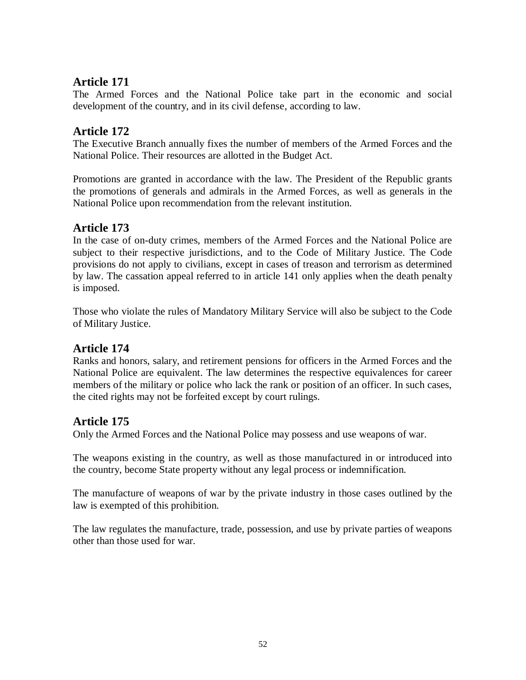The Armed Forces and the National Police take part in the economic and social development of the country, and in its civil defense, according to law.

## **Article 172**

The Executive Branch annually fixes the number of members of the Armed Forces and the National Police. Their resources are allotted in the Budget Act.

Promotions are granted in accordance with the law. The President of the Republic grants the promotions of generals and admirals in the Armed Forces, as well as generals in the National Police upon recommendation from the relevant institution.

## **Article 173**

In the case of on-duty crimes, members of the Armed Forces and the National Police are subject to their respective jurisdictions, and to the Code of Military Justice. The Code provisions do not apply to civilians, except in cases of treason and terrorism as determined by law. The cassation appeal referred to in article 141 only applies when the death penalty is imposed.

Those who violate the rules of Mandatory Military Service will also be subject to the Code of Military Justice.

## **Article 174**

Ranks and honors, salary, and retirement pensions for officers in the Armed Forces and the National Police are equivalent. The law determines the respective equivalences for career members of the military or police who lack the rank or position of an officer. In such cases, the cited rights may not be forfeited except by court rulings.

## **Article 175**

Only the Armed Forces and the National Police may possess and use weapons of war.

The weapons existing in the country, as well as those manufactured in or introduced into the country, become State property without any legal process or indemnification.

The manufacture of weapons of war by the private industry in those cases outlined by the law is exempted of this prohibition.

The law regulates the manufacture, trade, possession, and use by private parties of weapons other than those used for war.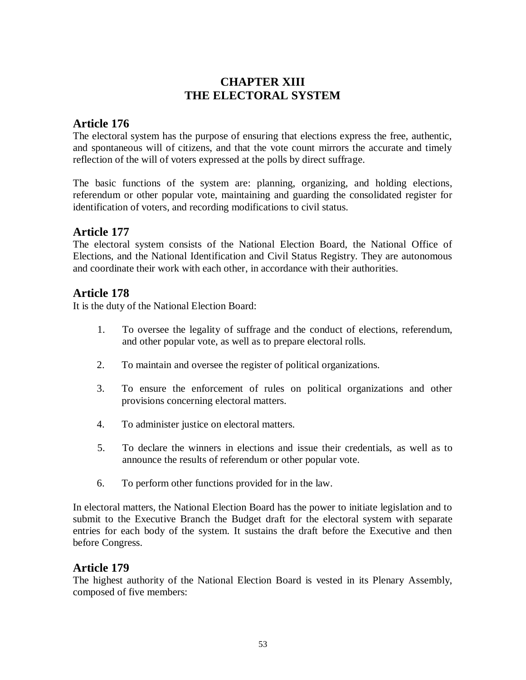## **CHAPTER XIII THE ELECTORAL SYSTEM**

## **Article 176**

The electoral system has the purpose of ensuring that elections express the free, authentic, and spontaneous will of citizens, and that the vote count mirrors the accurate and timely reflection of the will of voters expressed at the polls by direct suffrage.

The basic functions of the system are: planning, organizing, and holding elections, referendum or other popular vote, maintaining and guarding the consolidated register for identification of voters, and recording modifications to civil status.

## **Article 177**

The electoral system consists of the National Election Board, the National Office of Elections, and the National Identification and Civil Status Registry. They are autonomous and coordinate their work with each other, in accordance with their authorities.

## **Article 178**

It is the duty of the National Election Board:

- 1. To oversee the legality of suffrage and the conduct of elections, referendum, and other popular vote, as well as to prepare electoral rolls.
- 2. To maintain and oversee the register of political organizations.
- 3. To ensure the enforcement of rules on political organizations and other provisions concerning electoral matters.
- 4. To administer justice on electoral matters.
- 5. To declare the winners in elections and issue their credentials, as well as to announce the results of referendum or other popular vote.
- 6. To perform other functions provided for in the law.

In electoral matters, the National Election Board has the power to initiate legislation and to submit to the Executive Branch the Budget draft for the electoral system with separate entries for each body of the system. It sustains the draft before the Executive and then before Congress.

#### **Article 179**

The highest authority of the National Election Board is vested in its Plenary Assembly, composed of five members: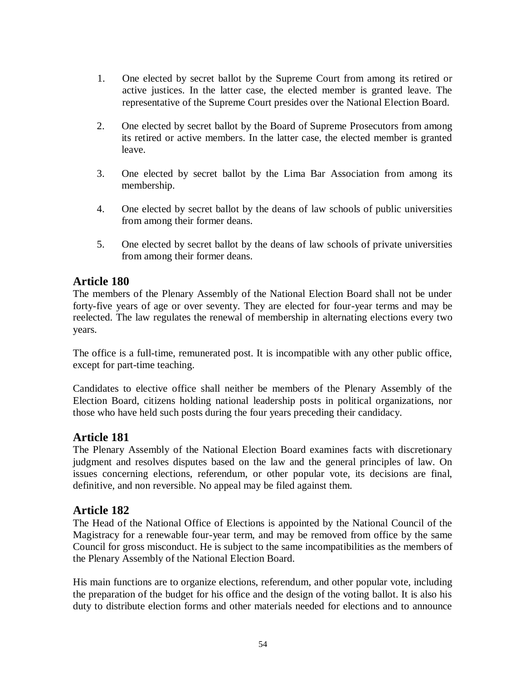- 1. One elected by secret ballot by the Supreme Court from among its retired or active justices. In the latter case, the elected member is granted leave. The representative of the Supreme Court presides over the National Election Board.
- 2. One elected by secret ballot by the Board of Supreme Prosecutors from among its retired or active members. In the latter case, the elected member is granted leave.
- 3. One elected by secret ballot by the Lima Bar Association from among its membership.
- 4. One elected by secret ballot by the deans of law schools of public universities from among their former deans.
- 5. One elected by secret ballot by the deans of law schools of private universities from among their former deans.

The members of the Plenary Assembly of the National Election Board shall not be under forty-five years of age or over seventy. They are elected for four-year terms and may be reelected. The law regulates the renewal of membership in alternating elections every two years.

The office is a full-time, remunerated post. It is incompatible with any other public office, except for part-time teaching.

Candidates to elective office shall neither be members of the Plenary Assembly of the Election Board, citizens holding national leadership posts in political organizations, nor those who have held such posts during the four years preceding their candidacy.

#### **Article 181**

The Plenary Assembly of the National Election Board examines facts with discretionary judgment and resolves disputes based on the law and the general principles of law. On issues concerning elections, referendum, or other popular vote, its decisions are final, definitive, and non reversible. No appeal may be filed against them.

#### **Article 182**

The Head of the National Office of Elections is appointed by the National Council of the Magistracy for a renewable four-year term, and may be removed from office by the same Council for gross misconduct. He is subject to the same incompatibilities as the members of the Plenary Assembly of the National Election Board.

His main functions are to organize elections, referendum, and other popular vote, including the preparation of the budget for his office and the design of the voting ballot. It is also his duty to distribute election forms and other materials needed for elections and to announce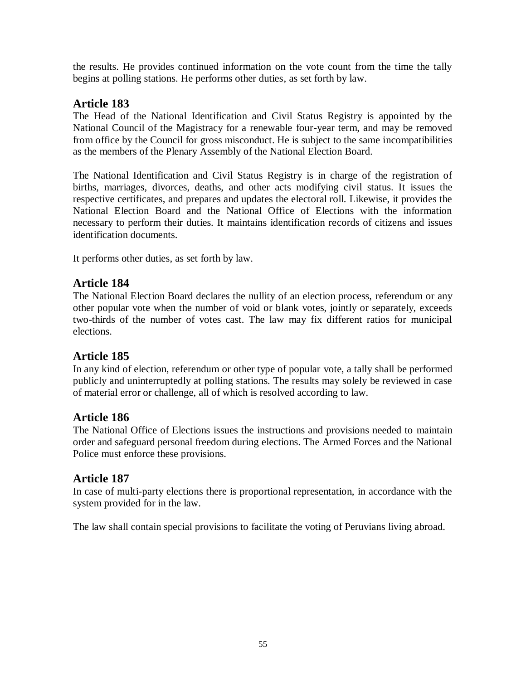the results. He provides continued information on the vote count from the time the tally begins at polling stations. He performs other duties, as set forth by law.

## **Article 183**

The Head of the National Identification and Civil Status Registry is appointed by the National Council of the Magistracy for a renewable four-year term, and may be removed from office by the Council for gross misconduct. He is subject to the same incompatibilities as the members of the Plenary Assembly of the National Election Board.

The National Identification and Civil Status Registry is in charge of the registration of births, marriages, divorces, deaths, and other acts modifying civil status. It issues the respective certificates, and prepares and updates the electoral roll. Likewise, it provides the National Election Board and the National Office of Elections with the information necessary to perform their duties. It maintains identification records of citizens and issues identification documents.

It performs other duties, as set forth by law.

## **Article 184**

The National Election Board declares the nullity of an election process, referendum or any other popular vote when the number of void or blank votes, jointly or separately, exceeds two-thirds of the number of votes cast. The law may fix different ratios for municipal elections.

## **Article 185**

In any kind of election, referendum or other type of popular vote, a tally shall be performed publicly and uninterruptedly at polling stations. The results may solely be reviewed in case of material error or challenge, all of which is resolved according to law.

## **Article 186**

The National Office of Elections issues the instructions and provisions needed to maintain order and safeguard personal freedom during elections. The Armed Forces and the National Police must enforce these provisions.

## **Article 187**

In case of multi-party elections there is proportional representation, in accordance with the system provided for in the law.

The law shall contain special provisions to facilitate the voting of Peruvians living abroad.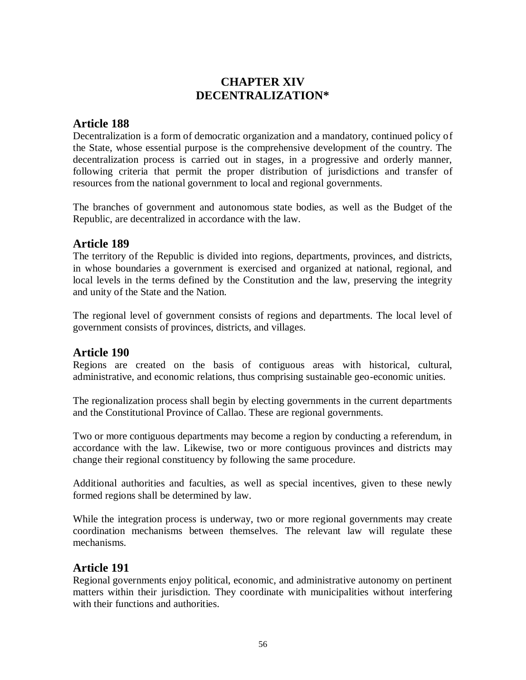## **CHAPTER XIV DECENTRALIZATION\***

## **Article 188**

Decentralization is a form of democratic organization and a mandatory, continued policy of the State, whose essential purpose is the comprehensive development of the country. The decentralization process is carried out in stages, in a progressive and orderly manner, following criteria that permit the proper distribution of jurisdictions and transfer of resources from the national government to local and regional governments.

The branches of government and autonomous state bodies, as well as the Budget of the Republic, are decentralized in accordance with the law.

## **Article 189**

The territory of the Republic is divided into regions, departments, provinces, and districts, in whose boundaries a government is exercised and organized at national, regional, and local levels in the terms defined by the Constitution and the law, preserving the integrity and unity of the State and the Nation.

The regional level of government consists of regions and departments. The local level of government consists of provinces, districts, and villages.

## **Article 190**

Regions are created on the basis of contiguous areas with historical, cultural, administrative, and economic relations, thus comprising sustainable geo-economic unities.

The regionalization process shall begin by electing governments in the current departments and the Constitutional Province of Callao. These are regional governments.

Two or more contiguous departments may become a region by conducting a referendum, in accordance with the law. Likewise, two or more contiguous provinces and districts may change their regional constituency by following the same procedure.

Additional authorities and faculties, as well as special incentives, given to these newly formed regions shall be determined by law.

While the integration process is underway, two or more regional governments may create coordination mechanisms between themselves. The relevant law will regulate these mechanisms.

## **Article 191**

Regional governments enjoy political, economic, and administrative autonomy on pertinent matters within their jurisdiction. They coordinate with municipalities without interfering with their functions and authorities.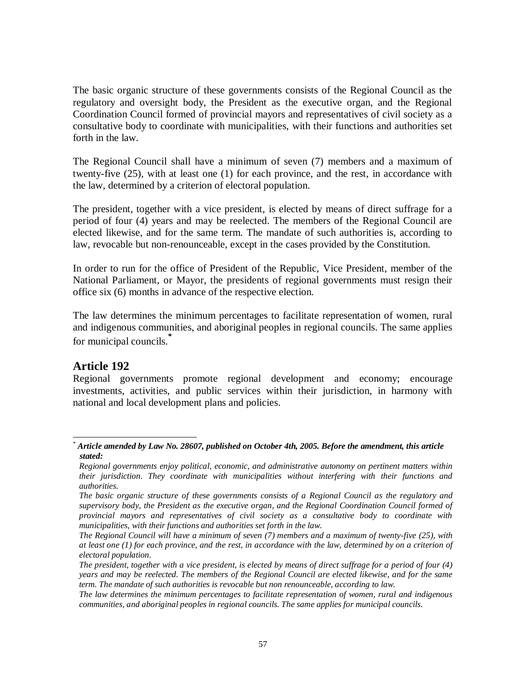The basic organic structure of these governments consists of the Regional Council as the regulatory and oversight body, the President as the executive organ, and the Regional Coordination Council formed of provincial mayors and representatives of civil society as a consultative body to coordinate with municipalities, with their functions and authorities set forth in the law.

The Regional Council shall have a minimum of seven (7) members and a maximum of twenty-five (25), with at least one (1) for each province, and the rest, in accordance with the law, determined by a criterion of electoral population.

The president, together with a vice president, is elected by means of direct suffrage for a period of four (4) years and may be reelected. The members of the Regional Council are elected likewise, and for the same term. The mandate of such authorities is, according to law, revocable but non-renounceable, except in the cases provided by the Constitution.

In order to run for the office of President of the Republic, Vice President, member of the National Parliament, or Mayor, the presidents of regional governments must resign their office six (6) months in advance of the respective election.

The law determines the minimum percentages to facilitate representation of women, rural and indigenous communities, and aboriginal peoples in regional councils. The same applies for municipal councils.**\***

#### **Article 192**

Regional governments promote regional development and economy; encourage investments, activities, and public services within their jurisdiction, in harmony with national and local development plans and policies.

l \* *Article amended by Law No. 28607, published on October 4th, 2005. Before the amendment, this article stated:*

*Regional governments enjoy political, economic, and administrative autonomy on pertinent matters within their jurisdiction. They coordinate with municipalities without interfering with their functions and authorities.* 

*The basic organic structure of these governments consists of a Regional Council as the regulatory and supervisory body, the President as the executive organ, and the Regional Coordination Council formed of provincial mayors and representatives of civil society as a consultative body to coordinate with municipalities, with their functions and authorities set forth in the law.*

*The Regional Council will have a minimum of seven (7) members and a maximum of twenty-five (25), with at least one (1) for each province, and the rest, in accordance with the law, determined by on a criterion of electoral population.*

*The president, together with a vice president, is elected by means of direct suffrage for a period of four (4) years and may be reelected. The members of the Regional Council are elected likewise, and for the same term. The mandate of such authorities is revocable but non renounceable, according to law.*

*The law determines the minimum percentages to facilitate representation of women, rural and indigenous communities, and aboriginal peoples in regional councils. The same applies for municipal councils.*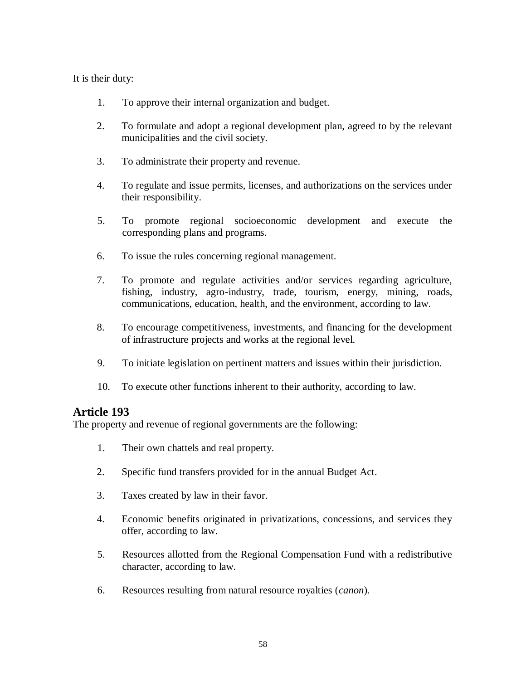It is their duty:

- 1. To approve their internal organization and budget.
- 2. To formulate and adopt a regional development plan, agreed to by the relevant municipalities and the civil society.
- 3. To administrate their property and revenue.
- 4. To regulate and issue permits, licenses, and authorizations on the services under their responsibility.
- 5. To promote regional socioeconomic development and execute the corresponding plans and programs.
- 6. To issue the rules concerning regional management.
- 7. To promote and regulate activities and/or services regarding agriculture, fishing, industry, agro-industry, trade, tourism, energy, mining, roads, communications, education, health, and the environment, according to law.
- 8. To encourage competitiveness, investments, and financing for the development of infrastructure projects and works at the regional level.
- 9. To initiate legislation on pertinent matters and issues within their jurisdiction.
- 10. To execute other functions inherent to their authority, according to law.

#### **Article 193**

The property and revenue of regional governments are the following:

- 1. Their own chattels and real property.
- 2. Specific fund transfers provided for in the annual Budget Act.
- 3. Taxes created by law in their favor.
- 4. Economic benefits originated in privatizations, concessions, and services they offer, according to law.
- 5. Resources allotted from the Regional Compensation Fund with a redistributive character, according to law.
- 6. Resources resulting from natural resource royalties (*canon*).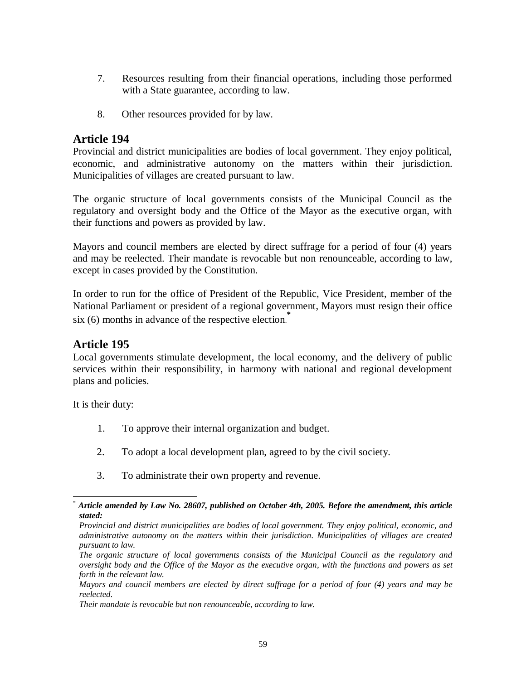- 7. Resources resulting from their financial operations, including those performed with a State guarantee, according to law.
- 8. Other resources provided for by law.

Provincial and district municipalities are bodies of local government. They enjoy political, economic, and administrative autonomy on the matters within their jurisdiction. Municipalities of villages are created pursuant to law.

The organic structure of local governments consists of the Municipal Council as the regulatory and oversight body and the Office of the Mayor as the executive organ, with their functions and powers as provided by law.

Mayors and council members are elected by direct suffrage for a period of four (4) years and may be reelected. Their mandate is revocable but non renounceable, according to law, except in cases provided by the Constitution.

In order to run for the office of President of the Republic, Vice President, member of the National Parliament or president of a regional government, Mayors must resign their office six (6) months in advance of the respective election. **\***

## **Article 195**

Local governments stimulate development, the local economy, and the delivery of public services within their responsibility, in harmony with national and regional development plans and policies.

It is their duty:

l

- 1. To approve their internal organization and budget.
- 2. To adopt a local development plan, agreed to by the civil society.
- 3. To administrate their own property and revenue.

<sup>\*</sup> *Article amended by Law No. 28607, published on October 4th, 2005. Before the amendment, this article stated:*

*Provincial and district municipalities are bodies of local government. They enjoy political, economic, and administrative autonomy on the matters within their jurisdiction. Municipalities of villages are created pursuant to law.*

*The organic structure of local governments consists of the Municipal Council as the regulatory and oversight body and the Office of the Mayor as the executive organ, with the functions and powers as set forth in the relevant law.*

*Mayors and council members are elected by direct suffrage for a period of four (4) years and may be reelected.*

*Their mandate is revocable but non renounceable, according to law.*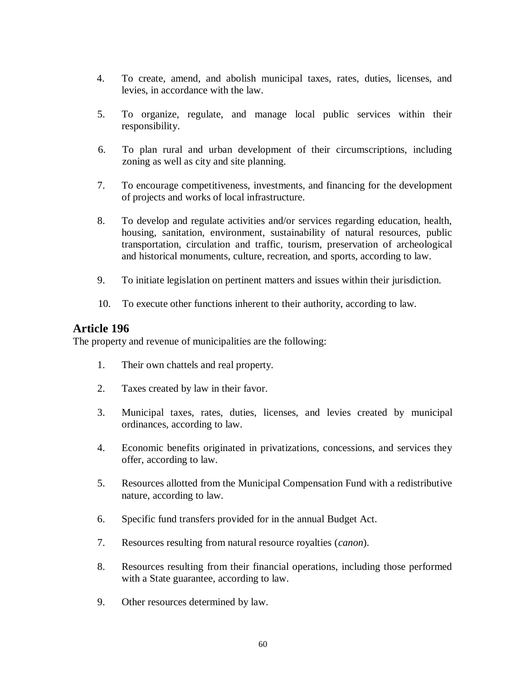- 4. To create, amend, and abolish municipal taxes, rates, duties, licenses, and levies, in accordance with the law.
- 5. To organize, regulate, and manage local public services within their responsibility.
- 6. To plan rural and urban development of their circumscriptions, including zoning as well as city and site planning.
- 7. To encourage competitiveness, investments, and financing for the development of projects and works of local infrastructure.
- 8. To develop and regulate activities and/or services regarding education, health, housing, sanitation, environment, sustainability of natural resources, public transportation, circulation and traffic, tourism, preservation of archeological and historical monuments, culture, recreation, and sports, according to law.
- 9. To initiate legislation on pertinent matters and issues within their jurisdiction.
- 10. To execute other functions inherent to their authority, according to law.

The property and revenue of municipalities are the following:

- 1. Their own chattels and real property.
- 2. Taxes created by law in their favor.
- 3. Municipal taxes, rates, duties, licenses, and levies created by municipal ordinances, according to law.
- 4. Economic benefits originated in privatizations, concessions, and services they offer, according to law.
- 5. Resources allotted from the Municipal Compensation Fund with a redistributive nature, according to law.
- 6. Specific fund transfers provided for in the annual Budget Act.
- 7. Resources resulting from natural resource royalties (*canon*).
- 8. Resources resulting from their financial operations, including those performed with a State guarantee, according to law.
- 9. Other resources determined by law.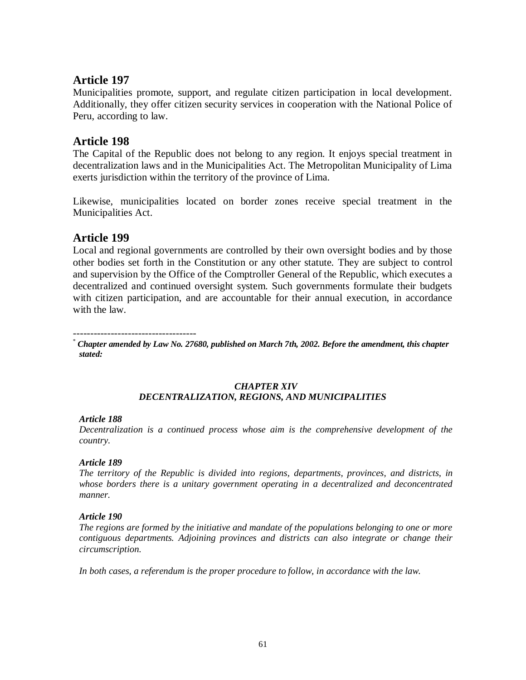Municipalities promote, support, and regulate citizen participation in local development. Additionally, they offer citizen security services in cooperation with the National Police of Peru, according to law.

### **Article 198**

The Capital of the Republic does not belong to any region. It enjoys special treatment in decentralization laws and in the Municipalities Act. The Metropolitan Municipality of Lima exerts jurisdiction within the territory of the province of Lima.

Likewise, municipalities located on border zones receive special treatment in the Municipalities Act.

## **Article 199**

Local and regional governments are controlled by their own oversight bodies and by those other bodies set forth in the Constitution or any other statute. They are subject to control and supervision by the Office of the Comptroller General of the Republic, which executes a decentralized and continued oversight system. Such governments formulate their budgets with citizen participation, and are accountable for their annual execution, in accordance with the law.

------------------------------------

\* *Chapter amended by Law No. 27680, published on March 7th, 2002. Before the amendment, this chapter stated:*

#### *CHAPTER XIV DECENTRALIZATION, REGIONS, AND MUNICIPALITIES*

#### *Article 188*

*Decentralization is a continued process whose aim is the comprehensive development of the country.*

#### *Article 189*

*The territory of the Republic is divided into regions, departments, provinces, and districts, in whose borders there is a unitary government operating in a decentralized and deconcentrated manner.*

#### *Article 190*

*The regions are formed by the initiative and mandate of the populations belonging to one or more contiguous departments. Adjoining provinces and districts can also integrate or change their circumscription.* 

*In both cases, a referendum is the proper procedure to follow, in accordance with the law.*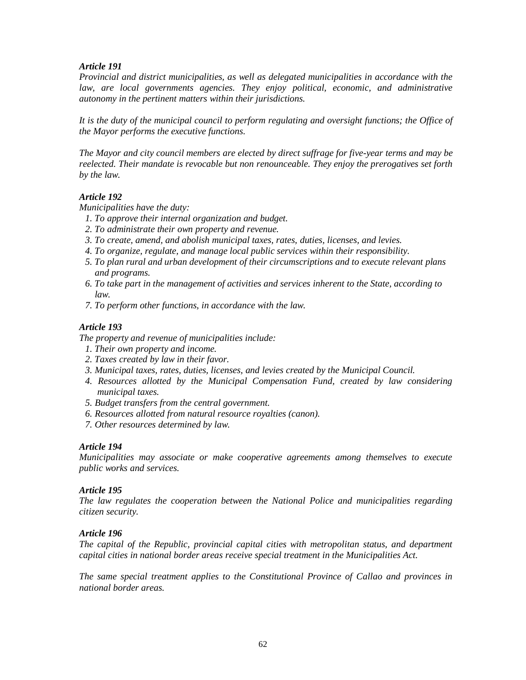*Provincial and district municipalities, as well as delegated municipalities in accordance with the law, are local governments agencies. They enjoy political, economic, and administrative autonomy in the pertinent matters within their jurisdictions.*

*It is the duty of the municipal council to perform regulating and oversight functions; the Office of the Mayor performs the executive functions.*

*The Mayor and city council members are elected by direct suffrage for five-year terms and may be reelected. Their mandate is revocable but non renounceable. They enjoy the prerogatives set forth by the law.*

#### *Article 192*

*Municipalities have the duty:*

- *1. To approve their internal organization and budget.*
- *2. To administrate their own property and revenue.*
- *3. To create, amend, and abolish municipal taxes, rates, duties, licenses, and levies.*
- *4. To organize, regulate, and manage local public services within their responsibility.*
- *5. To plan rural and urban development of their circumscriptions and to execute relevant plans and programs.*
- *6. To take part in the management of activities and services inherent to the State, according to law.*
- *7. To perform other functions, in accordance with the law.*

#### *Article 193*

*The property and revenue of municipalities include:*

- *1. Their own property and income.*
- *2. Taxes created by law in their favor.*
- *3. Municipal taxes, rates, duties, licenses, and levies created by the Municipal Council.*
- *4. Resources allotted by the Municipal Compensation Fund, created by law considering municipal taxes.*
- *5. Budget transfers from the central government.*
- *6. Resources allotted from natural resource royalties (canon).*
- *7. Other resources determined by law.*

#### *Article 194*

*Municipalities may associate or make cooperative agreements among themselves to execute public works and services.*

#### *Article 195*

*The law regulates the cooperation between the National Police and municipalities regarding citizen security.*

#### *Article 196*

*The capital of the Republic, provincial capital cities with metropolitan status, and department capital cities in national border areas receive special treatment in the Municipalities Act.* 

*The same special treatment applies to the Constitutional Province of Callao and provinces in national border areas.*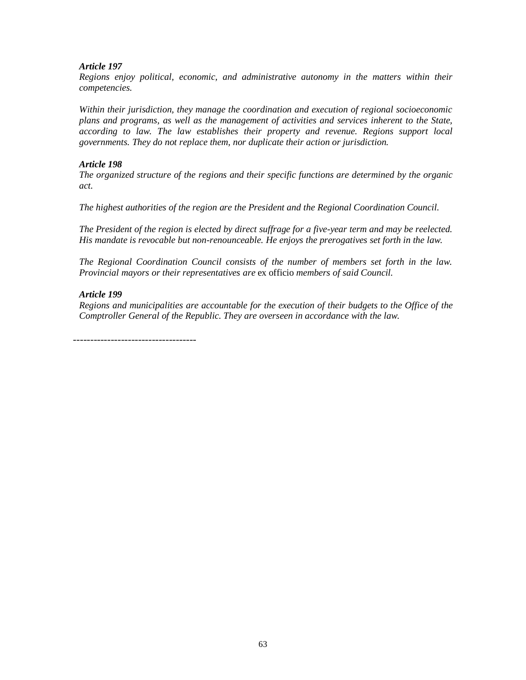*Regions enjoy political, economic, and administrative autonomy in the matters within their competencies.*

*Within their jurisdiction, they manage the coordination and execution of regional socioeconomic plans and programs, as well as the management of activities and services inherent to the State, according to law. The law establishes their property and revenue. Regions support local governments. They do not replace them, nor duplicate their action or jurisdiction.*

#### *Article 198*

*The organized structure of the regions and their specific functions are determined by the organic act.* 

*The highest authorities of the region are the President and the Regional Coordination Council.* 

*The President of the region is elected by direct suffrage for a five-year term and may be reelected. His mandate is revocable but non-renounceable. He enjoys the prerogatives set forth in the law.*

*The Regional Coordination Council consists of the number of members set forth in the law. Provincial mayors or their representatives are* ex officio *members of said Council.*

#### *Article 199*

*Regions and municipalities are accountable for the execution of their budgets to the Office of the Comptroller General of the Republic. They are overseen in accordance with the law.*

------------------------------------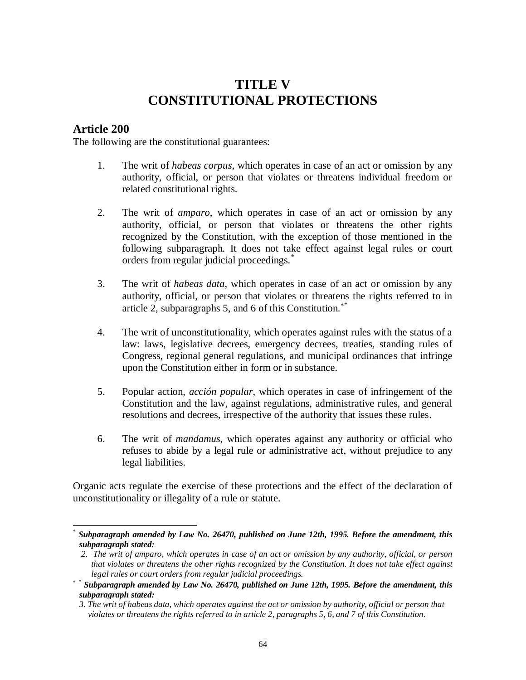# **TITLE V CONSTITUTIONAL PROTECTIONS**

## **Article 200**

The following are the constitutional guarantees:

- 1. The writ of *habeas corpus*, which operates in case of an act or omission by any authority, official, or person that violates or threatens individual freedom or related constitutional rights.
- 2. The writ of *amparo*, which operates in case of an act or omission by any authority, official, or person that violates or threatens the other rights recognized by the Constitution, with the exception of those mentioned in the following subparagraph*.* It does not take effect against legal rules or court orders from regular judicial proceedings.<sup>\*</sup>
- 3. The writ of *habeas data*, which operates in case of an act or omission by any authority, official, or person that violates or threatens the rights referred to in article 2, subparagraphs 5, and 6 of this Constitution.\*
- 4. The writ of unconstitutionality, which operates against rules with the status of a law: laws, legislative decrees, emergency decrees, treaties, standing rules of Congress, regional general regulations, and municipal ordinances that infringe upon the Constitution either in form or in substance.
- 5. Popular action, *acción popular*, which operates in case of infringement of the Constitution and the law, against regulations, administrative rules, and general resolutions and decrees, irrespective of the authority that issues these rules.
- 6. The writ of *mandamus*, which operates against any authority or official who refuses to abide by a legal rule or administrative act, without prejudice to any legal liabilities.

Organic acts regulate the exercise of these protections and the effect of the declaration of unconstitutionality or illegality of a rule or statute.

<sup>-</sup>\* *Subparagraph amended by Law No. 26470, published on June 12th, 1995. Before the amendment, this subparagraph stated:*

*<sup>2.</sup> The writ of amparo, which operates in case of an act or omission by any authority, official, or person that violates or threatens the other rights recognized by the Constitution. It does not take effect against legal rules or court orders from regular judicial proceedings.*

\* *Subparagraph amended by Law No. 26470, published on June 12th, 1995. Before the amendment, this subparagraph stated:*

*<sup>3.</sup> The writ of habeas data, which operates against the act or omission by authority, official or person that violates or threatens the rights referred to in article 2, paragraphs 5, 6, and 7 of this Constitution.*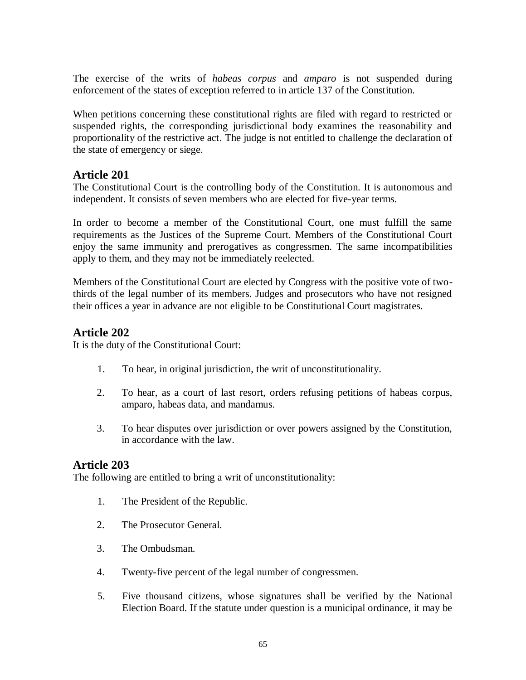The exercise of the writs of *habeas corpus* and *amparo* is not suspended during enforcement of the states of exception referred to in article 137 of the Constitution.

When petitions concerning these constitutional rights are filed with regard to restricted or suspended rights, the corresponding jurisdictional body examines the reasonability and proportionality of the restrictive act. The judge is not entitled to challenge the declaration of the state of emergency or siege.

## **Article 201**

The Constitutional Court is the controlling body of the Constitution. It is autonomous and independent. It consists of seven members who are elected for five-year terms.

In order to become a member of the Constitutional Court, one must fulfill the same requirements as the Justices of the Supreme Court. Members of the Constitutional Court enjoy the same immunity and prerogatives as congressmen. The same incompatibilities apply to them, and they may not be immediately reelected.

Members of the Constitutional Court are elected by Congress with the positive vote of twothirds of the legal number of its members. Judges and prosecutors who have not resigned their offices a year in advance are not eligible to be Constitutional Court magistrates.

## **Article 202**

It is the duty of the Constitutional Court:

- 1. To hear, in original jurisdiction, the writ of unconstitutionality.
- 2. To hear, as a court of last resort, orders refusing petitions of habeas corpus, amparo, habeas data, and mandamus.
- 3. To hear disputes over jurisdiction or over powers assigned by the Constitution, in accordance with the law.

#### **Article 203**

The following are entitled to bring a writ of unconstitutionality:

- 1. The President of the Republic.
- 2. The Prosecutor General.
- 3. The Ombudsman.
- 4. Twenty-five percent of the legal number of congressmen.
- 5. Five thousand citizens, whose signatures shall be verified by the National Election Board. If the statute under question is a municipal ordinance, it may be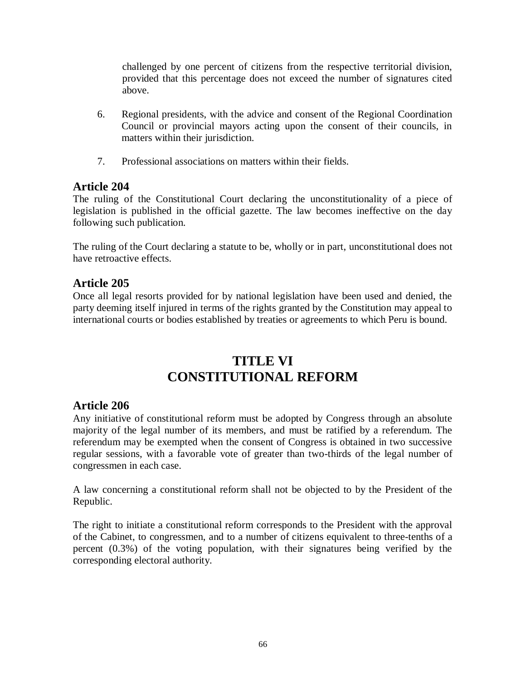challenged by one percent of citizens from the respective territorial division, provided that this percentage does not exceed the number of signatures cited above.

- 6. Regional presidents, with the advice and consent of the Regional Coordination Council or provincial mayors acting upon the consent of their councils, in matters within their jurisdiction.
- 7. Professional associations on matters within their fields.

### **Article 204**

The ruling of the Constitutional Court declaring the unconstitutionality of a piece of legislation is published in the official gazette. The law becomes ineffective on the day following such publication.

The ruling of the Court declaring a statute to be, wholly or in part, unconstitutional does not have retroactive effects.

### **Article 205**

Once all legal resorts provided for by national legislation have been used and denied, the party deeming itself injured in terms of the rights granted by the Constitution may appeal to international courts or bodies established by treaties or agreements to which Peru is bound.

# **TITLE VI CONSTITUTIONAL REFORM**

## **Article 206**

Any initiative of constitutional reform must be adopted by Congress through an absolute majority of the legal number of its members, and must be ratified by a referendum. The referendum may be exempted when the consent of Congress is obtained in two successive regular sessions, with a favorable vote of greater than two-thirds of the legal number of congressmen in each case.

A law concerning a constitutional reform shall not be objected to by the President of the Republic.

The right to initiate a constitutional reform corresponds to the President with the approval of the Cabinet, to congressmen, and to a number of citizens equivalent to three-tenths of a percent (0.3%) of the voting population, with their signatures being verified by the corresponding electoral authority.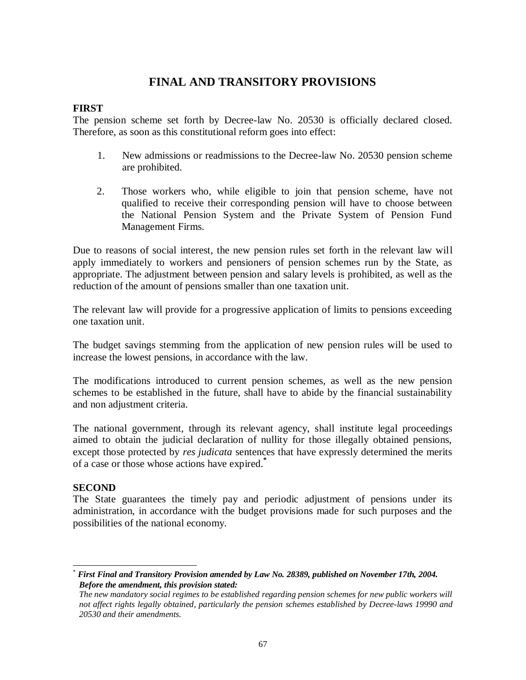## **FINAL AND TRANSITORY PROVISIONS**

#### **FIRST**

The pension scheme set forth by Decree-law No. 20530 is officially declared closed. Therefore, as soon as this constitutional reform goes into effect:

- 1. New admissions or readmissions to the Decree-law No. 20530 pension scheme are prohibited.
- 2. Those workers who, while eligible to join that pension scheme, have not qualified to receive their corresponding pension will have to choose between the National Pension System and the Private System of Pension Fund Management Firms.

Due to reasons of social interest, the new pension rules set forth in the relevant law will apply immediately to workers and pensioners of pension schemes run by the State, as appropriate. The adjustment between pension and salary levels is prohibited, as well as the reduction of the amount of pensions smaller than one taxation unit.

The relevant law will provide for a progressive application of limits to pensions exceeding one taxation unit.

The budget savings stemming from the application of new pension rules will be used to increase the lowest pensions, in accordance with the law.

The modifications introduced to current pension schemes, as well as the new pension schemes to be established in the future, shall have to abide by the financial sustainability and non adjustment criteria.

The national government, through its relevant agency, shall institute legal proceedings aimed to obtain the judicial declaration of nullity for those illegally obtained pensions, except those protected by *res judicata* sentences that have expressly determined the merits of a case or those whose actions have expired.**\***

#### **SECOND**

The State guarantees the timely pay and periodic adjustment of pensions under its administration, in accordance with the budget provisions made for such purposes and the possibilities of the national economy.

l \* *First Final and Transitory Provision amended by Law No. 28389, published on November 17th, 2004. Before the amendment, this provision stated:*

*The new mandatory social regimes to be established regarding pension schemes for new public workers will not affect rights legally obtained, particularly the pension schemes established by Decree-laws 19990 and 20530 and their amendments.*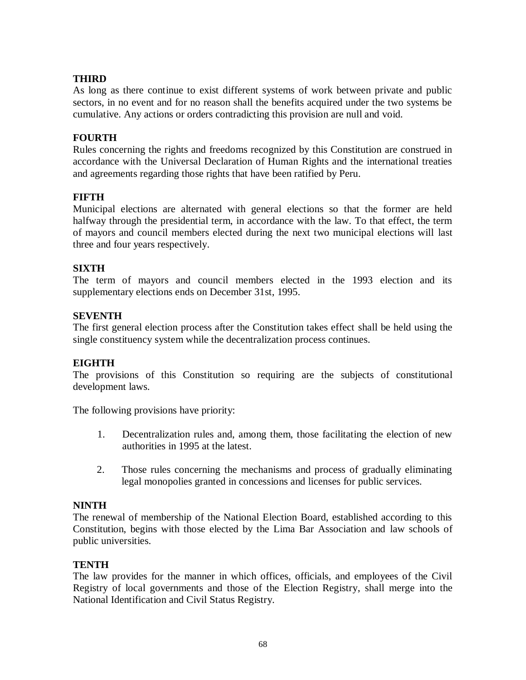#### **THIRD**

As long as there continue to exist different systems of work between private and public sectors, in no event and for no reason shall the benefits acquired under the two systems be cumulative. Any actions or orders contradicting this provision are null and void.

#### **FOURTH**

Rules concerning the rights and freedoms recognized by this Constitution are construed in accordance with the Universal Declaration of Human Rights and the international treaties and agreements regarding those rights that have been ratified by Peru.

#### **FIFTH**

Municipal elections are alternated with general elections so that the former are held halfway through the presidential term, in accordance with the law. To that effect, the term of mayors and council members elected during the next two municipal elections will last three and four years respectively.

#### **SIXTH**

The term of mayors and council members elected in the 1993 election and its supplementary elections ends on December 31st, 1995.

#### **SEVENTH**

The first general election process after the Constitution takes effect shall be held using the single constituency system while the decentralization process continues.

#### **EIGHTH**

The provisions of this Constitution so requiring are the subjects of constitutional development laws.

The following provisions have priority:

- 1. Decentralization rules and, among them, those facilitating the election of new authorities in 1995 at the latest.
- 2. Those rules concerning the mechanisms and process of gradually eliminating legal monopolies granted in concessions and licenses for public services.

#### **NINTH**

The renewal of membership of the National Election Board, established according to this Constitution, begins with those elected by the Lima Bar Association and law schools of public universities.

#### **TENTH**

The law provides for the manner in which offices, officials, and employees of the Civil Registry of local governments and those of the Election Registry, shall merge into the National Identification and Civil Status Registry.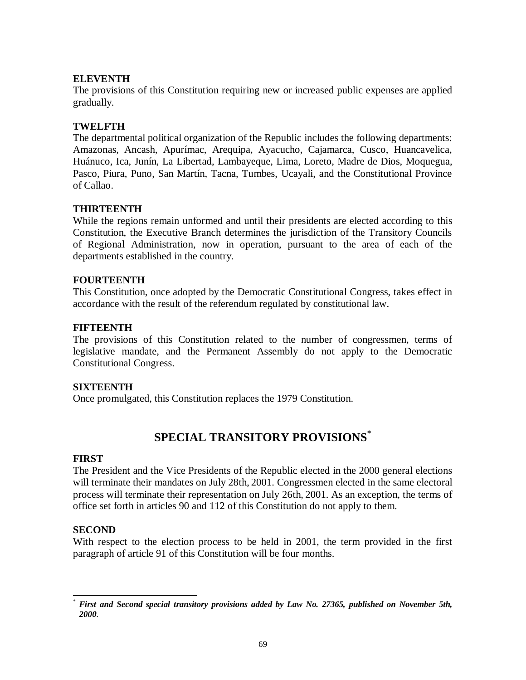#### **ELEVENTH**

The provisions of this Constitution requiring new or increased public expenses are applied gradually.

#### **TWELFTH**

The departmental political organization of the Republic includes the following departments: Amazonas, Ancash, Apurímac, Arequipa, Ayacucho, Cajamarca, Cusco, Huancavelica, Huánuco, Ica, Junín, La Libertad, Lambayeque, Lima, Loreto, Madre de Dios, Moquegua, Pasco, Piura, Puno, San Martín, Tacna, Tumbes, Ucayali, and the Constitutional Province of Callao.

#### **THIRTEENTH**

While the regions remain unformed and until their presidents are elected according to this Constitution, the Executive Branch determines the jurisdiction of the Transitory Councils of Regional Administration, now in operation, pursuant to the area of each of the departments established in the country.

#### **FOURTEENTH**

This Constitution, once adopted by the Democratic Constitutional Congress, takes effect in accordance with the result of the referendum regulated by constitutional law.

#### **FIFTEENTH**

The provisions of this Constitution related to the number of congressmen, terms of legislative mandate, and the Permanent Assembly do not apply to the Democratic Constitutional Congress.

#### **SIXTEENTH**

Once promulgated, this Constitution replaces the 1979 Constitution.

## **SPECIAL TRANSITORY PROVISIONS\***

#### **FIRST**

The President and the Vice Presidents of the Republic elected in the 2000 general elections will terminate their mandates on July 28th, 2001. Congressmen elected in the same electoral process will terminate their representation on July 26th, 2001. As an exception, the terms of office set forth in articles 90 and 112 of this Constitution do not apply to them.

#### **SECOND**

l

With respect to the election process to be held in 2001, the term provided in the first paragraph of article 91 of this Constitution will be four months.

<sup>\*</sup> *First and Second special transitory provisions added by Law No. 27365, published on November 5th, 2000.*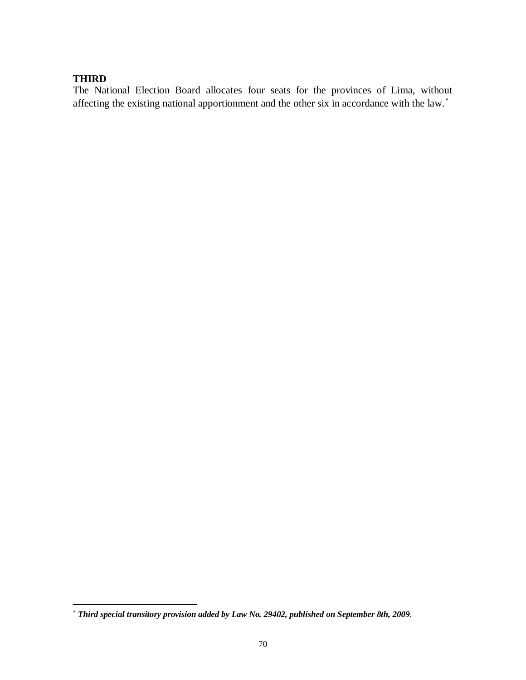#### **THIRD**

l

The National Election Board allocates four seats for the provinces of Lima, without affecting the existing national apportionment and the other six in accordance with the law.

*Third special transitory provision added by Law No. 29402, published on September 8th, 2009.*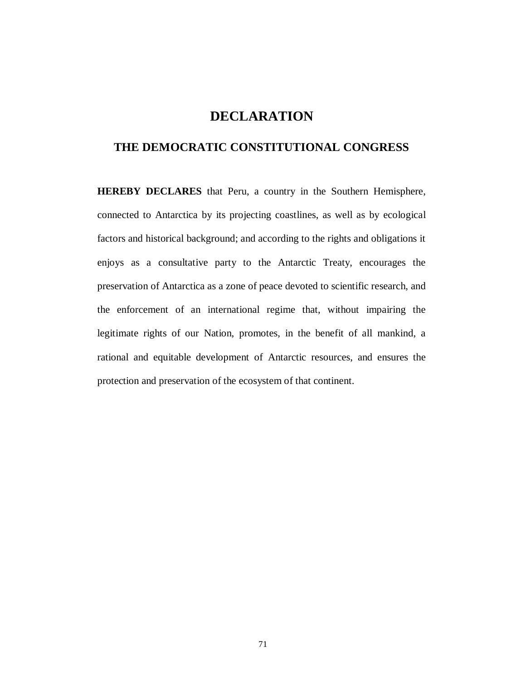## **DECLARATION**

### **THE DEMOCRATIC CONSTITUTIONAL CONGRESS**

**HEREBY DECLARES** that Peru, a country in the Southern Hemisphere, connected to Antarctica by its projecting coastlines, as well as by ecological factors and historical background; and according to the rights and obligations it enjoys as a consultative party to the Antarctic Treaty, encourages the preservation of Antarctica as a zone of peace devoted to scientific research, and the enforcement of an international regime that, without impairing the legitimate rights of our Nation, promotes, in the benefit of all mankind, a rational and equitable development of Antarctic resources, and ensures the protection and preservation of the ecosystem of that continent.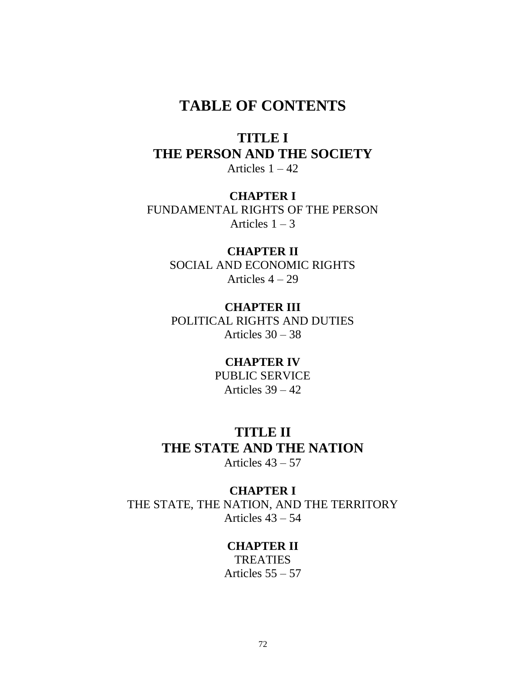# **TABLE OF CONTENTS**

## **TITLE I THE PERSON AND THE SOCIETY** Articles  $1 - 42$

**CHAPTER I** FUNDAMENTAL RIGHTS OF THE PERSON Articles  $1 - 3$ 

**CHAPTER II** SOCIAL AND ECONOMIC RIGHTS Articles  $4 - 29$ 

**CHAPTER III** POLITICAL RIGHTS AND DUTIES Articles  $30 - 38$ 

## **CHAPTER IV**

PUBLIC SERVICE Articles  $39 - 42$ 

# **TITLE II THE STATE AND THE NATION**

Articles  $43 - 57$ 

#### **CHAPTER I**

THE STATE, THE NATION, AND THE TERRITORY Articles  $43 - 54$ 

#### **CHAPTER II**

TREATIES Articles  $55 - 57$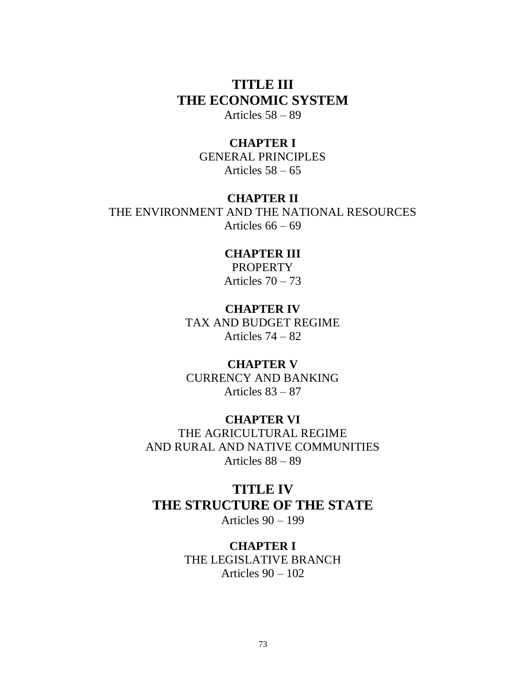## **TITLE III THE ECONOMIC SYSTEM**

Articles 58 – 89

#### **CHAPTER I**

GENERAL PRINCIPLES Articles  $58 - 65$ 

#### **CHAPTER II**

THE ENVIRONMENT AND THE NATIONAL RESOURCES Articles  $66 - 69$ 

# **CHAPTER III**

**PROPERTY** Articles  $70 - 73$ 

#### **CHAPTER IV**

TAX AND BUDGET REGIME Articles 74 – 82

#### **CHAPTER V**

CURRENCY AND BANKING Articles 83 – 87

#### **CHAPTER VI**

THE AGRICULTURAL REGIME AND RURAL AND NATIVE COMMUNITIES Articles 88 – 89

# **TITLE IV THE STRUCTURE OF THE STATE**

Articles 90 – 199

## **CHAPTER I**

THE LEGISLATIVE BRANCH Articles 90 – 102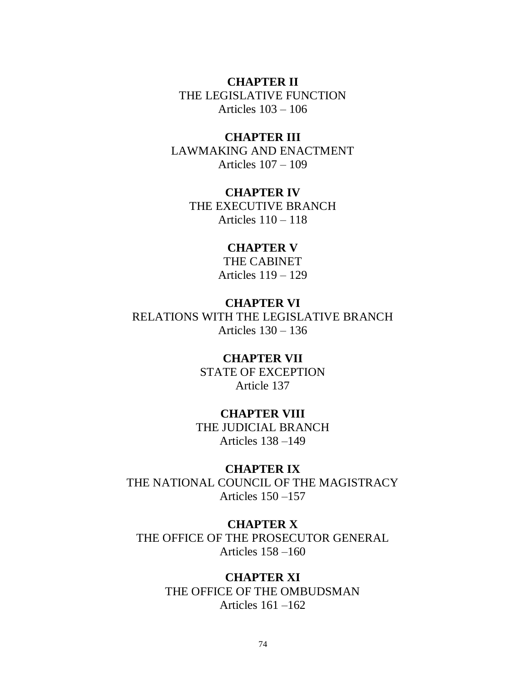#### **CHAPTER II**

THE LEGISLATIVE FUNCTION Articles 103 – 106

#### **CHAPTER III**

LAWMAKING AND ENACTMENT Articles 107 – 109

#### **CHAPTER IV**

THE EXECUTIVE BRANCH Articles 110 – 118

#### **CHAPTER V**

THE CABINET Articles 119 – 129

#### **CHAPTER VI**

RELATIONS WITH THE LEGISLATIVE BRANCH Articles 130 – 136

# **CHAPTER VII**

STATE OF EXCEPTION Article 137

#### **CHAPTER VIII**

THE JUDICIAL BRANCH Articles 138 –149

### **CHAPTER IX**

THE NATIONAL COUNCIL OF THE MAGISTRACY Articles  $150 - 157$ 

#### **CHAPTER X**

THE OFFICE OF THE PROSECUTOR GENERAL Articles 158 –160

#### **CHAPTER XI**

THE OFFICE OF THE OMBUDSMAN Articles  $161 - 162$